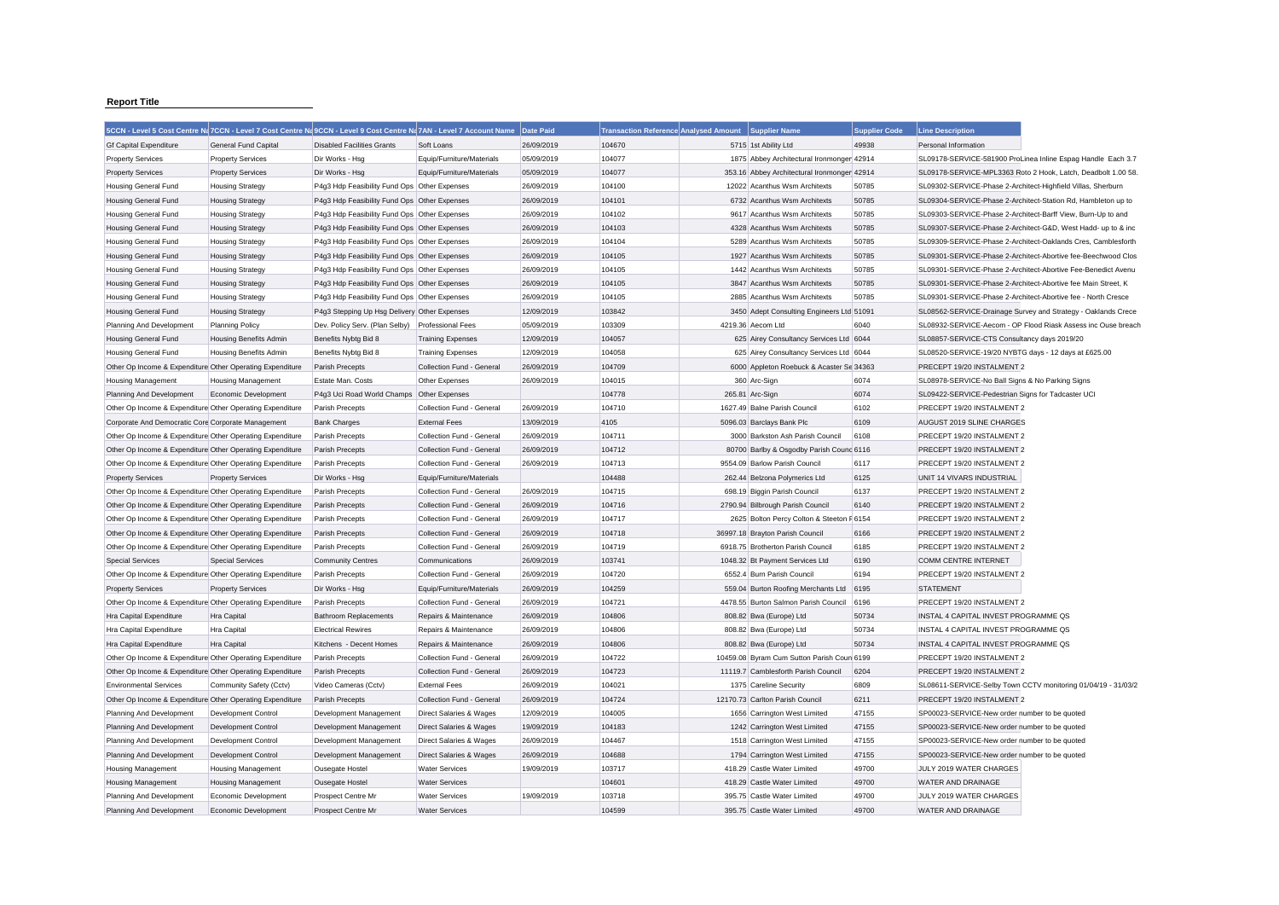## **Report Title**

|                                                           | 5CCN - Level 5 Cost Centre Na 7CCN - Level 7 Cost Centre Na 9CCN - Level 9 Cost Centre Na 7AN - Level 7 Account Name |                                              |                           | Date Paid  | Transaction Reference Analysed Amount Supplier Name |                                             | <b>Supplier Code</b> | <b>Line Description</b>                                      |                                                               |
|-----------------------------------------------------------|----------------------------------------------------------------------------------------------------------------------|----------------------------------------------|---------------------------|------------|-----------------------------------------------------|---------------------------------------------|----------------------|--------------------------------------------------------------|---------------------------------------------------------------|
| <b>Gf Capital Expenditure</b>                             | <b>General Fund Capital</b>                                                                                          | <b>Disabled Facilities Grants</b>            | Soft Loans                | 26/09/2019 | 104670                                              | 5715 1st Ability Ltd                        | 49938                | Personal Information                                         |                                                               |
| <b>Property Services</b>                                  | <b>Property Services</b>                                                                                             | Dir Works - Hsg                              | Equip/Furniture/Materials | 05/09/2019 | 104077                                              | 1875 Abbey Architectural Ironmonger 42914   |                      |                                                              | SL09178-SERVICE-581900 ProLinea Inline Espag Handle Each 3.7  |
| <b>Property Services</b>                                  | <b>Property Services</b>                                                                                             | Dir Works - Hsg                              | Equip/Furniture/Materials | 05/09/2019 | 104077                                              | 353.16 Abbey Architectural Ironmonger 42914 |                      |                                                              | SL09178-SERVICE-MPL3363 Roto 2 Hook, Latch, Deadbolt 1.00 58  |
| Housing General Fund                                      | <b>Housing Strategy</b>                                                                                              | P4g3 Hdp Feasibility Fund Ops Other Expenses |                           | 26/09/2019 | 104100                                              | 12022 Acanthus Wsm Architexts               | 50785                | SL09302-SERVICE-Phase 2-Architect-Highfield Villas, Sherburn |                                                               |
| Housing General Fund                                      | <b>Housing Strategy</b>                                                                                              | P4g3 Hdp Feasibility Fund Ops Other Expenses |                           | 26/09/2019 | 104101                                              | 6732 Acanthus Wsm Architexts                | 50785                |                                                              | SL09304-SERVICE-Phase 2-Architect-Station Rd, Hambleton up to |
| <b>Housing General Fund</b>                               | <b>Housing Strategy</b>                                                                                              | P4g3 Hdp Feasibility Fund Ops Other Expenses |                           | 26/09/2019 | 104102                                              | 9617 Acanthus Wsm Architexts                | 50785                |                                                              | SL09303-SERVICE-Phase 2-Architect-Barff View, Burn-Up to and  |
| Housing General Fund                                      | <b>Housing Strategy</b>                                                                                              | P4g3 Hdp Feasibility Fund Ops Other Expenses |                           | 26/09/2019 | 104103                                              | 4328 Acanthus Wsm Architexts                | 50785                |                                                              | SL09307-SERVICE-Phase 2-Architect-G&D, West Hadd- up to & inc |
| Housing General Fund                                      | <b>Housing Strategy</b>                                                                                              | P4g3 Hdp Feasibility Fund Ops Other Expenses |                           | 26/09/2019 | 104104                                              | 5289 Acanthus Wsm Architexts                | 50785                |                                                              | SL09309-SERVICE-Phase 2-Architect-Oaklands Cres, Camblesforth |
| <b>Housing General Fund</b>                               | <b>Housing Strategy</b>                                                                                              | P4g3 Hdp Feasibility Fund Ops Other Expenses |                           | 26/09/2019 | 104105                                              | 1927 Acanthus Wsm Architexts                | 50785                |                                                              | SL09301-SERVICE-Phase 2-Architect-Abortive fee-Beechwood Clos |
| <b>Housing General Fund</b>                               | <b>Housing Strategy</b>                                                                                              | P4g3 Hdp Feasibility Fund Ops Other Expenses |                           | 26/09/2019 | 104105                                              | 1442 Acanthus Wsm Architexts                | 50785                |                                                              | SL09301-SERVICE-Phase 2-Architect-Abortive Fee-Benedict Avenu |
| Housing General Fund                                      | <b>Housing Strategy</b>                                                                                              | P4g3 Hdp Feasibility Fund Ops Other Expenses |                           | 26/09/2019 | 104105                                              | 3847 Acanthus Wsm Architexts                | 50785                |                                                              | SL09301-SERVICE-Phase 2-Architect-Abortive fee Main Street, K |
| <b>Housing General Fund</b>                               | <b>Housing Strategy</b>                                                                                              | P4g3 Hdp Feasibility Fund Ops Other Expenses |                           | 26/09/2019 | 104105                                              | 2885 Acanthus Wsm Architexts                | 50785                |                                                              | SL09301-SERVICE-Phase 2-Architect-Abortive fee - North Cresce |
| <b>Housing General Fund</b>                               | <b>Housing Strategy</b>                                                                                              | P4g3 Stepping Up Hsg Delivery Other Expenses |                           | 12/09/2019 | 103842                                              | 3450 Adept Consulting Engineers Ltd 51091   |                      |                                                              | SL08562-SERVICE-Drainage Survey and Strategy - Oaklands Crece |
| Planning And Development                                  | <b>Planning Policy</b>                                                                                               | Dev. Policy Serv. (Plan Selby)               | <b>Professional Fees</b>  | 05/09/2019 | 103309                                              | 4219.36 Aecom Ltd                           | 6040                 |                                                              | SL08932-SERVICE-Aecom - OP Flood Riask Assess inc Ouse breach |
| <b>Housing General Fund</b>                               | Housing Benefits Admin                                                                                               | Benefits Nybtg Bid 8                         | <b>Training Expenses</b>  | 12/09/2019 | 104057                                              | 625 Airey Consultancy Services Ltd 6044     |                      | SL08857-SERVICE-CTS Consultancy days 2019/20                 |                                                               |
| <b>Housing General Fund</b>                               | Housing Benefits Admin                                                                                               | Benefits Nybtg Bid 8                         | <b>Training Expenses</b>  | 12/09/2019 | 104058                                              | 625 Airey Consultancy Services Ltd 6044     |                      | SL08520-SERVICE-19/20 NYBTG days - 12 days at £625.00        |                                                               |
| Other Op Income & Expenditure Other Operating Expenditure |                                                                                                                      | Parish Precepts                              | Collection Fund - General | 26/09/2019 | 104709                                              | 6000 Appleton Roebuck & Acaster Se 34363    |                      | PRECEPT 19/20 INSTALMENT 2                                   |                                                               |
| <b>Housing Management</b>                                 | <b>Housing Management</b>                                                                                            | Estate Man. Costs                            | Other Expenses            | 26/09/2019 | 104015                                              | 360 Arc-Sign                                | 6074                 | SL08978-SERVICE-No Ball Signs & No Parking Signs             |                                                               |
| Planning And Development                                  | Economic Development                                                                                                 | P4g3 Uci Road World Champs Other Expenses    |                           |            | 104778                                              | 265.81 Arc-Sign                             | 6074                 | SL09422-SERVICE-Pedestrian Signs for Tadcaster UCI           |                                                               |
| Other Op Income & Expenditure Other Operating Expenditure |                                                                                                                      | Parish Precepts                              | Collection Fund - General | 26/09/2019 | 104710                                              | 1627.49 Balne Parish Council                | 6102                 | PRECEPT 19/20 INSTALMENT 2                                   |                                                               |
| Corporate And Democratic Core Corporate Management        |                                                                                                                      | <b>Bank Charges</b>                          | <b>External Fees</b>      | 13/09/2019 | 4105                                                | 5096.03 Barclays Bank Plc                   | 6109                 | AUGUST 2019 SLINE CHARGES                                    |                                                               |
| Other Op Income & Expenditure Other Operating Expenditure |                                                                                                                      | Parish Precepts                              | Collection Fund - General | 26/09/2019 | 104711                                              | 3000 Barkston Ash Parish Council            | 6108                 | PRECEPT 19/20 INSTALMENT 2                                   |                                                               |
| Other Op Income & Expenditure Other Operating Expenditure |                                                                                                                      | Parish Precepts                              | Collection Fund - General | 26/09/2019 | 104712                                              | 80700 Barlby & Osgodby Parish Counc 6116    |                      | PRECEPT 19/20 INSTALMENT 2                                   |                                                               |
| Other Op Income & Expenditure Other Operating Expenditure |                                                                                                                      | Parish Precepts                              | Collection Fund - General | 26/09/2019 | 104713                                              | 9554.09 Barlow Parish Council               | 6117                 | PRECEPT 19/20 INSTALMENT 2                                   |                                                               |
| <b>Property Services</b>                                  | <b>Property Services</b>                                                                                             | Dir Works - Hsg                              | Equip/Furniture/Materials |            | 104488                                              | 262.44 Belzona Polymerics Ltd               | 6125                 | UNIT 14 VIVARS INDUSTRIAL                                    |                                                               |
| Other Op Income & Expenditure Other Operating Expenditure |                                                                                                                      | Parish Precepts                              | Collection Fund - General | 26/09/2019 | 104715                                              | 698.19 Biggin Parish Council                | 6137                 | PRECEPT 19/20 INSTALMENT 2                                   |                                                               |
| Other Op Income & Expenditure Other Operating Expenditure |                                                                                                                      | Parish Precepts                              | Collection Fund - General | 26/09/2019 | 104716                                              | 2790.94 Bilbrough Parish Council            | 6140                 | PRECEPT 19/20 INSTALMENT 2                                   |                                                               |
| Other Op Income & Expenditure Other Operating Expenditure |                                                                                                                      | Parish Precepts                              | Collection Fund - General | 26/09/2019 | 104717                                              | 2625 Bolton Percy Colton & Steeton F 6154   |                      | PRECEPT 19/20 INSTALMENT 2                                   |                                                               |
| Other Op Income & Expenditure Other Operating Expenditure |                                                                                                                      | Parish Precepts                              | Collection Fund - General | 26/09/2019 | 104718                                              | 36997.18 Brayton Parish Council             | 6166                 | PRECEPT 19/20 INSTALMENT 2                                   |                                                               |
| Other Op Income & Expenditure Other Operating Expenditure |                                                                                                                      | Parish Precepts                              | Collection Fund - General | 26/09/2019 | 104719                                              | 6918.75 Brotherton Parish Council           | 6185                 | PRECEPT 19/20 INSTALMENT 2                                   |                                                               |
| <b>Special Services</b>                                   | <b>Special Services</b>                                                                                              | <b>Community Centres</b>                     | Communications            | 26/09/2019 | 103741                                              | 1048.32 Bt Payment Services Ltd             | 6190                 | <b>COMM CENTRE INTERNET</b>                                  |                                                               |
| Other Op Income & Expenditure Other Operating Expenditure |                                                                                                                      | Parish Precepts                              | Collection Fund - General | 26/09/2019 | 104720                                              | 6552.4 Burn Parish Council                  | 6194                 | PRECEPT 19/20 INSTALMENT 2                                   |                                                               |
| <b>Property Services</b>                                  | <b>Property Services</b>                                                                                             | Dir Works - Hsg                              | Equip/Furniture/Materials | 26/09/2019 | 104259                                              | 559.04 Burton Roofing Merchants Ltd         | 6195                 | <b>STATEMENT</b>                                             |                                                               |
| Other Op Income & Expenditure Other Operating Expenditure |                                                                                                                      | Parish Precepts                              | Collection Fund - General | 26/09/2019 | 104721                                              | 4478.55 Burton Salmon Parish Council        | 6196                 | PRECEPT 19/20 INSTALMENT 2                                   |                                                               |
| Hra Capital Expenditure                                   | Hra Capital                                                                                                          | <b>Bathroom Replacements</b>                 | Repairs & Maintenance     | 26/09/2019 | 104806                                              | 808.82 Bwa (Europe) Ltd                     | 50734                | INSTAL 4 CAPITAL INVEST PROGRAMME QS                         |                                                               |
| Hra Capital Expenditure                                   | Hra Capital                                                                                                          | <b>Electrical Rewires</b>                    | Repairs & Maintenance     | 26/09/2019 | 104806                                              | 808.82 Bwa (Europe) Ltd                     | 50734                | INSTAL 4 CAPITAL INVEST PROGRAMME QS                         |                                                               |
| Hra Capital Expenditure                                   | Hra Capital                                                                                                          | Kitchens - Decent Homes                      | Repairs & Maintenance     | 26/09/2019 | 104806                                              | 808.82 Bwa (Europe) Ltd                     | 50734                | INSTAL 4 CAPITAL INVEST PROGRAMME QS                         |                                                               |
| Other Op Income & Expenditure Other Operating Expenditure |                                                                                                                      | Parish Precepts                              | Collection Fund - General | 26/09/2019 | 104722                                              | 10459.08 Byram Cum Sutton Parish Coun 6199  |                      | PRECEPT 19/20 INSTALMENT 2                                   |                                                               |
| Other Op Income & Expenditure Other Operating Expenditure |                                                                                                                      | <b>Parish Precepts</b>                       | Collection Fund - General | 26/09/2019 | 104723                                              | 11119.7 Camblesforth Parish Council         | 6204                 | PRECEPT 19/20 INSTALMENT 2                                   |                                                               |
| <b>Environmental Services</b>                             | Community Safety (Cctv)                                                                                              | Video Cameras (Cctv)                         | <b>External Fees</b>      | 26/09/2019 | 104021                                              | 1375 Careline Security                      | 6809                 |                                                              | SL08611-SERVICE-Selby Town CCTV monitoring 01/04/19 - 31/03/2 |
| Other Op Income & Expenditure Other Operating Expenditure |                                                                                                                      | Parish Precepts                              | Collection Fund - General | 26/09/2019 | 104724                                              | 12170.73 Carlton Parish Council             | 6211                 | PRECEPT 19/20 INSTALMENT 2                                   |                                                               |
| Planning And Development                                  | Development Control                                                                                                  | Development Management                       | Direct Salaries & Wages   | 12/09/2019 | 104005                                              | 1656 Carrington West Limited                | 47155                | SP00023-SERVICE-New order number to be quoted                |                                                               |
| Planning And Development                                  | Development Control                                                                                                  | Development Management                       | Direct Salaries & Wages   | 19/09/2019 | 104183                                              | 1242 Carrington West Limited                | 47155                | SP00023-SERVICE-New order number to be quoted                |                                                               |
| Planning And Development                                  | Development Control                                                                                                  | Development Management                       | Direct Salaries & Wages   | 26/09/2019 | 104467                                              | 1518 Carrington West Limited                | 47155                | SP00023-SERVICE-New order number to be quoted                |                                                               |
| Planning And Development                                  | Development Control                                                                                                  | Development Management                       | Direct Salaries & Wages   | 26/09/2019 | 104688                                              | 1794 Carrington West Limited                | 47155                | SP00023-SERVICE-New order number to be quoted                |                                                               |
| <b>Housing Management</b>                                 | <b>Housing Management</b>                                                                                            | Ousegate Hostel                              | <b>Water Services</b>     | 19/09/2019 | 103717                                              | 418.29 Castle Water Limited                 | 49700                | JULY 2019 WATER CHARGES                                      |                                                               |
| <b>Housing Management</b>                                 | <b>Housing Management</b>                                                                                            | <b>Ousegate Hostel</b>                       | <b>Water Services</b>     |            | 104601                                              | 418.29 Castle Water Limited                 | 49700                | <b>WATER AND DRAINAGE</b>                                    |                                                               |
| Planning And Development                                  | Economic Development                                                                                                 | Prospect Centre Mr                           | <b>Water Services</b>     | 19/09/2019 | 103718                                              | 395.75 Castle Water Limited                 | 49700                | JULY 2019 WATER CHARGES                                      |                                                               |
| Planning And Development                                  | Economic Development                                                                                                 | Prospect Centre Mr                           | <b>Water Services</b>     |            | 104599                                              | 395.75 Castle Water Limited                 | 49700                | WATER AND DRAINAGE                                           |                                                               |
|                                                           |                                                                                                                      |                                              |                           |            |                                                     |                                             |                      |                                                              |                                                               |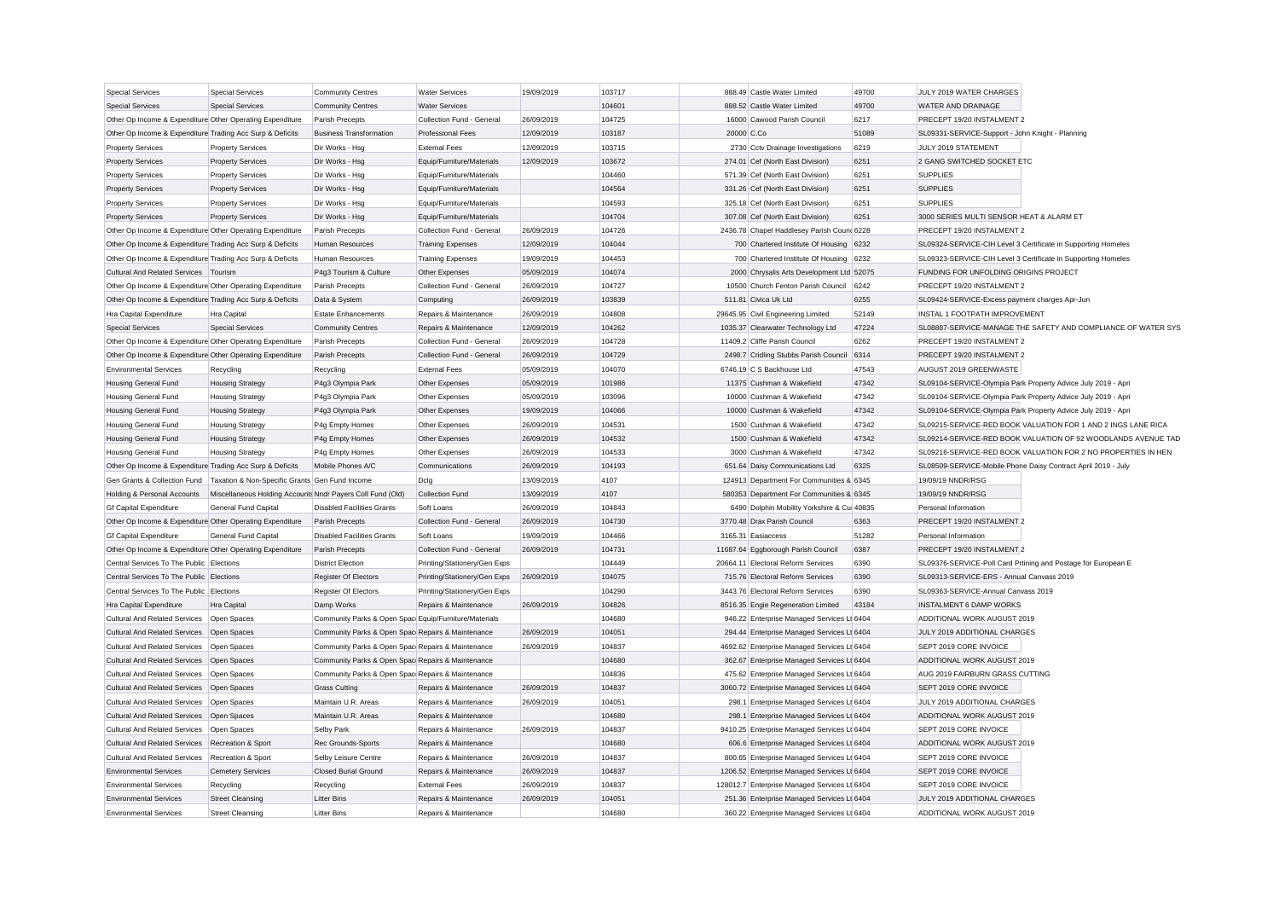| <b>Special Services</b>                                   | Special Services                                           | <b>Community Centres</b>                              | <b>Water Services</b>                                 | 19/09/2019 | 103717           | 888.49 Castle Water Limited                  | 49700 | JULY 2019 WATER CHARGES                                        |                                                               |
|-----------------------------------------------------------|------------------------------------------------------------|-------------------------------------------------------|-------------------------------------------------------|------------|------------------|----------------------------------------------|-------|----------------------------------------------------------------|---------------------------------------------------------------|
| <b>Special Services</b>                                   | <b>Special Services</b>                                    | <b>Community Centres</b>                              | <b>Water Services</b>                                 |            | 104601           | 888.52 Castle Water Limited                  | 49700 | <b>WATER AND DRAINAGE</b>                                      |                                                               |
| Other Op Income & Expenditure Other Operating Expenditure |                                                            | Parish Precepts                                       | Collection Fund - General                             | 26/09/2019 | 104725           | 16000 Cawood Parish Council                  | 6217  | PRECEPT 19/20 INSTALMENT 2                                     |                                                               |
| Other Op Income & Expenditure Trading Acc Surp & Deficits |                                                            | <b>Business Transformation</b>                        | <b>Professional Fees</b>                              | 12/09/2019 | 103187           | 20000 C.Co                                   | 51089 | SL09331-SERVICE-Support - John Knight - Planning               |                                                               |
| <b>Property Services</b>                                  | <b>Property Services</b>                                   | Dir Works - Hsg                                       | <b>External Fees</b>                                  | 12/09/2019 | 103715           | 2730 Cctv Drainage Investigations            | 6219  | JULY 2019 STATEMENT                                            |                                                               |
| <b>Property Services</b>                                  | <b>Property Services</b>                                   | Dir Works - Hsg                                       | Equip/Furniture/Materials                             | 12/09/2019 | 103672           | 274.01 Cef (North East Division)             | 6251  | 2 GANG SWITCHED SOCKET ETC                                     |                                                               |
| <b>Property Services</b>                                  | <b>Property Services</b>                                   | Dir Works - Hsg                                       | Equip/Furniture/Materials                             |            | 104460           | 571.39 Cef (North East Division)             | 6251  | <b>SUPPLIES</b>                                                |                                                               |
| <b>Property Services</b>                                  | <b>Property Services</b>                                   | Dir Works - Hsg                                       | Equip/Furniture/Materials                             |            | 104564           | 331.26 Cef (North East Division)             | 6251  | <b>SUPPLIES</b>                                                |                                                               |
| <b>Property Services</b>                                  | <b>Property Services</b>                                   | Dir Works - Hsg                                       | Equip/Furniture/Materials                             |            | 104593           | 325.18 Cef (North East Division)             | 6251  | <b>SUPPLIES</b>                                                |                                                               |
| <b>Property Services</b>                                  | <b>Property Services</b>                                   | Dir Works - Hsg                                       | Equip/Furniture/Materials                             |            | 104704           | 307.08 Cef (North East Division)             | 6251  | 3000 SERIES MULTI SENSOR HEAT & ALARM ET                       |                                                               |
| Other Op Income & Expenditure Other Operating Expenditure |                                                            | Parish Precepts                                       | Collection Fund - General                             | 26/09/2019 | 104726           | 2436.78 Chapel Haddlesey Parish Count 6228   |       | PRECEPT 19/20 INSTALMENT 2                                     |                                                               |
| Other Op Income & Expenditure Trading Acc Surp & Deficits |                                                            | Human Resources                                       | <b>Training Expenses</b>                              | 12/09/2019 | 104044           | 700 Chartered Institute Of Housing 6232      |       |                                                                | SL09324-SERVICE-CIH Level 3 Certificate in Supporting Homeles |
| Other Op Income & Expenditure Trading Acc Surp & Deficits |                                                            | <b>Human Resources</b>                                | <b>Training Expenses</b>                              | 19/09/2019 | 104453           | 700 Chartered Institute Of Housing           | 6232  | SL09323-SERVICE-CIH Level 3 Certificate in Supporting Homeles  |                                                               |
| Cultural And Related Services   Tourism                   |                                                            | P4g3 Tourism & Culture                                | Other Expenses                                        | 05/09/2019 | 104074           | 2000 Chrysalis Arts Development Ltd 52075    |       | FUNDING FOR UNFOLDING ORIGINS PROJECT                          |                                                               |
| Other Op Income & Expenditure Other Operating Expenditure |                                                            | Parish Precepts                                       | Collection Fund - General                             | 26/09/2019 | 104727           | 10500 Church Fenton Parish Council           | 6242  | PRECEPT 19/20 INSTALMENT 2                                     |                                                               |
| Other Op Income & Expenditure Trading Acc Surp & Deficits |                                                            | Data & System                                         | Computing                                             | 26/09/2019 | 103839           | 511.81 Civica Uk Ltd                         | 6255  | SL09424-SERVICE-Excess payment charges Apr-Jun                 |                                                               |
| Hra Capital Expenditure                                   | Hra Capital                                                | <b>Estate Enhancements</b>                            | Repairs & Maintenance                                 | 26/09/2019 | 104808           | 29645.95 Civil Engineering Limited           | 52149 | INSTAL 1 FOOTPATH IMPROVEMENT                                  |                                                               |
| <b>Special Services</b>                                   | <b>Special Services</b>                                    | <b>Community Centres</b>                              | Repairs & Maintenance                                 | 12/09/2019 | 104262           | 1035.37 Clearwater Technology Ltd            | 47224 |                                                                | SL08887-SERVICE-MANAGE THE SAFETY AND COMPLIANCE OF WATER SYS |
| Other Op Income & Expenditure Other Operating Expenditure |                                                            | Parish Precepts                                       | Collection Fund - General                             | 26/09/2019 | 104728           | 11409.2 Cliffe Parish Council                | 6262  | PRECEPT 19/20 INSTALMENT 2                                     |                                                               |
| Other Op Income & Expenditure Other Operating Expenditure |                                                            | Parish Precepts                                       | Collection Fund - General                             | 26/09/2019 | 104729           | 2498.7 Cridling Stubbs Parish Council 6314   |       | PRECEPT 19/20 INSTALMENT 2                                     |                                                               |
| <b>Environmental Services</b>                             | Recycling                                                  | Recycling                                             | <b>External Fees</b>                                  | 05/09/2019 | 104070           | 6746.19 C S Backhouse Ltd                    | 47543 | AUGUST 2019 GREENWASTE                                         |                                                               |
| <b>Housing General Fund</b>                               | <b>Housing Strategy</b>                                    | P4g3 Olympia Park                                     | Other Expenses                                        | 05/09/2019 | 101986           | 11375 Cushman & Wakefield                    | 47342 |                                                                | SL09104-SERVICE-Olympia Park Property Advice July 2019 - Apri |
| <b>Housing General Fund</b>                               | <b>Housing Strategy</b>                                    | P4g3 Olympia Park                                     | Other Expenses                                        | 05/09/2019 | 103096           | 10000 Cushman & Wakefield                    | 47342 |                                                                | SL09104-SERVICE-Olympia Park Property Advice July 2019 - Apri |
| <b>Housing General Fund</b>                               | <b>Housing Strategy</b>                                    | P4g3 Olympia Park                                     | Other Expenses                                        | 19/09/2019 | 104066           | 10000 Cushman & Wakefield                    | 47342 |                                                                | SL09104-SERVICE-Olympia Park Property Advice July 2019 - Apri |
| Housing General Fund                                      | <b>Housing Strategy</b>                                    | P4g Empty Homes                                       | Other Expenses                                        | 26/09/2019 | 104531           | 1500 Cushman & Wakefield                     | 47342 |                                                                | SL09215-SERVICE-RED BOOK VALUATION FOR 1 AND 2 INGS LANE RICA |
| <b>Housing General Fund</b>                               | <b>Housing Strategy</b>                                    | P4g Empty Homes                                       | Other Expenses                                        | 26/09/2019 | 104532           | 1500 Cushman & Wakefield                     | 47342 |                                                                | SL09214-SERVICE-RED BOOK VALUATION OF 92 WOODLANDS AVENUE TAD |
| <b>Housing General Fund</b>                               | <b>Housing Strategy</b>                                    | P4g Empty Homes                                       | Other Expenses                                        | 26/09/2019 | 104533           | 3000 Cushman & Wakefield                     | 47342 |                                                                | SL09216-SERVICE-RED BOOK VALUATION FOR 2 NO PROPERTIES IN HEN |
| Other Op Income & Expenditure Trading Acc Surp & Deficits |                                                            | Mobile Phones A/C                                     | Communications                                        | 26/09/2019 | 104193           | 651.64 Daisy Communications Ltd              | 6325  | SL08509-SERVICE-Mobile Phone Daisy Contract April 2019 - July  |                                                               |
| Gen Grants & Collection Fund                              | Taxation & Non-Specific Grants Gen Fund Income             |                                                       | Dclg                                                  | 13/09/2019 | 4107             | 124913 Department For Communities & 6345     |       | 19/09/19 NNDR/RSG                                              |                                                               |
| Holding & Personal Accounts                               | Miscellaneous Holding Accounts Nndr Payers Coll Fund (Old) |                                                       | Collection Fund                                       | 13/09/2019 | 4107             | 580353 Department For Communities & 6345     |       | 19/09/19 NNDR/RSG                                              |                                                               |
| <b>Gf Capital Expenditure</b>                             | <b>General Fund Capital</b>                                | <b>Disabled Facilities Grants</b>                     | Soft Loans                                            | 26/09/2019 | 104843           | 6490 Dolphin Mobility Yorkshire & Cu 40835   |       | Personal Information                                           |                                                               |
| Other Op Income & Expenditure Other Operating Expenditure |                                                            | Parish Precepts                                       | Collection Fund - General                             | 26/09/2019 | 104730           | 3770.48 Drax Parish Council                  | 6363  | PRECEPT 19/20 INSTALMENT 2                                     |                                                               |
| <b>Gf Capital Expenditure</b>                             | General Fund Capital                                       | <b>Disabled Facilities Grants</b>                     | Soft Loans                                            | 19/09/2019 | 104466           | 3165.31 Fasiaccess                           | 51282 | Personal Information                                           |                                                               |
| Other Op Income & Expenditure Other Operating Expenditure |                                                            | Parish Precepts                                       | Collection Fund - General                             | 26/09/2019 | 104731           | 11687.64 Eggborough Parish Council           | 6387  | PRECEPT 19/20 INSTALMENT 2                                     |                                                               |
| Central Services To The Public Elections                  |                                                            | <b>District Election</b>                              | Printing/Stationery/Gen Exps                          |            | 104449           | 20664.11 Electoral Reform Services           | 6390  |                                                                | SL09376-SERVICE-Poll Card Prtining and Postage for European E |
| Central Services To The Public Elections                  |                                                            | <b>Register Of Electors</b>                           | Printing/Stationery/Gen Exps                          | 26/09/2019 | 104075           | 715.76 Electoral Reform Services             | 6390  | SL09313-SERVICE-ERS - Annual Canvass 2019                      |                                                               |
| Central Services To The Public Elections                  |                                                            | Register Of Electors                                  |                                                       |            | 104290           | 3443.76 Electoral Reform Services            | 6390  | SL09363-SERVICE-Annual Canvass 2019                            |                                                               |
| Hra Capital Expenditure                                   | Hra Capital                                                | Damp Works                                            | Printing/Stationery/Gen Exps<br>Repairs & Maintenance | 26/09/2019 | 104826           | 8516.35 Engie Regeneration Limited           | 43184 | <b>INSTALMENT 6 DAMP WORKS</b>                                 |                                                               |
| Cultural And Related Services                             | Open Spaces                                                | Community Parks & Open Spac Equip/Furniture/Materials |                                                       |            | 104680           | 946.22 Enterprise Managed Services Lt 6404   |       | ADDITIONAL WORK AUGUST 2019                                    |                                                               |
| <b>Cultural And Related Services</b>                      |                                                            | Community Parks & Open Spac Repairs & Maintenance     |                                                       | 26/09/2019 | 104051           |                                              |       | JULY 2019 ADDITIONAL CHARGES                                   |                                                               |
| Cultural And Related Services                             | Open Spaces                                                |                                                       |                                                       |            |                  | 294.44 Enterprise Managed Services Lt 6404   |       | SEPT 2019 CORE INVOICE                                         |                                                               |
|                                                           | Open Spaces                                                | Community Parks & Open Spac Repairs & Maintenance     |                                                       | 26/09/2019 | 104837           | 4692.62 Enterprise Managed Services Lt 6404  |       |                                                                |                                                               |
| <b>Cultural And Related Services</b>                      | Open Spaces                                                | Community Parks & Open Spac Repairs & Maintenance     |                                                       |            | 104680<br>104836 | 362.67 Enterprise Managed Services Lt 6404   |       | ADDITIONAL WORK AUGUST 2019<br>AUG 2019 FAIRBURN GRASS CUTTING |                                                               |
| Cultural And Related Services                             | Open Spaces                                                | Community Parks & Open Spac Repairs & Maintenance     |                                                       |            |                  | 475.62 Enterprise Managed Services Lt 6404   |       |                                                                |                                                               |
| <b>Cultural And Related Services</b>                      | Open Spaces                                                | <b>Grass Cutting</b>                                  | Repairs & Maintenance                                 | 26/09/2019 | 104837           | 3060.72 Enterprise Managed Services Lt 6404  |       | SEPT 2019 CORE INVOICE                                         |                                                               |
| <b>Cultural And Related Services</b>                      | Open Spaces                                                | Maintain U.R. Areas                                   | Repairs & Maintenance                                 | 26/09/2019 | 104051           | 298.1 Enterprise Managed Services Lt 6404    |       | JULY 2019 ADDITIONAL CHARGES                                   |                                                               |
| Cultural And Related Services                             | Open Spaces                                                | Maintain U.R. Areas                                   | Repairs & Maintenance                                 |            | 104680           | 298.1 Enterprise Managed Services Lt 6404    |       | ADDITIONAL WORK AUGUST 2019                                    |                                                               |
| <b>Cultural And Related Services</b>                      | Open Spaces                                                | Selby Park                                            | Repairs & Maintenance                                 | 26/09/2019 | 104837           | 9410.25 Enterprise Managed Services Lt 6404  |       | SEPT 2019 CORE INVOICE                                         |                                                               |
| <b>Cultural And Related Services</b>                      | Recreation & Sport                                         | Rec Grounds-Sports                                    | Repairs & Maintenance                                 |            | 104680           | 606.6 Enterprise Managed Services Lt 6404    |       | ADDITIONAL WORK AUGUST 2019                                    |                                                               |
| <b>Cultural And Related Services</b>                      | Recreation & Sport                                         | Selby Leisure Centre                                  | Repairs & Maintenance                                 | 26/09/2019 | 104837           | 800.65 Enterprise Managed Services Lt 6404   |       | SEPT 2019 CORE INVOICE                                         |                                                               |
| <b>Environmental Services</b>                             | <b>Cemetery Services</b>                                   | <b>Closed Burial Ground</b>                           | Repairs & Maintenance                                 | 26/09/2019 | 104837           | 1206.52 Enterprise Managed Services Lt 6404  |       | SEPT 2019 CORE INVOICE                                         |                                                               |
| <b>Environmental Services</b>                             | Recycling                                                  | Recycling                                             | <b>External Fees</b>                                  | 26/09/2019 | 104837           | 128012.7 Enterprise Managed Services Lt 6404 |       | SEPT 2019 CORE INVOICE                                         |                                                               |
| <b>Environmental Services</b>                             | <b>Street Cleansing</b>                                    | <b>Litter Bins</b>                                    | Repairs & Maintenance                                 | 26/09/2019 | 104051           | 251.36 Enterprise Managed Services Lt 6404   |       | JULY 2019 ADDITIONAL CHARGES                                   |                                                               |
| <b>Environmental Services</b>                             | <b>Street Cleansing</b>                                    | <b>Litter Bins</b>                                    | Repairs & Maintenance                                 |            | 104680           | 360.22 Enterprise Managed Services Lt 6404   |       | ADDITIONAL WORK AUGUST 2019                                    |                                                               |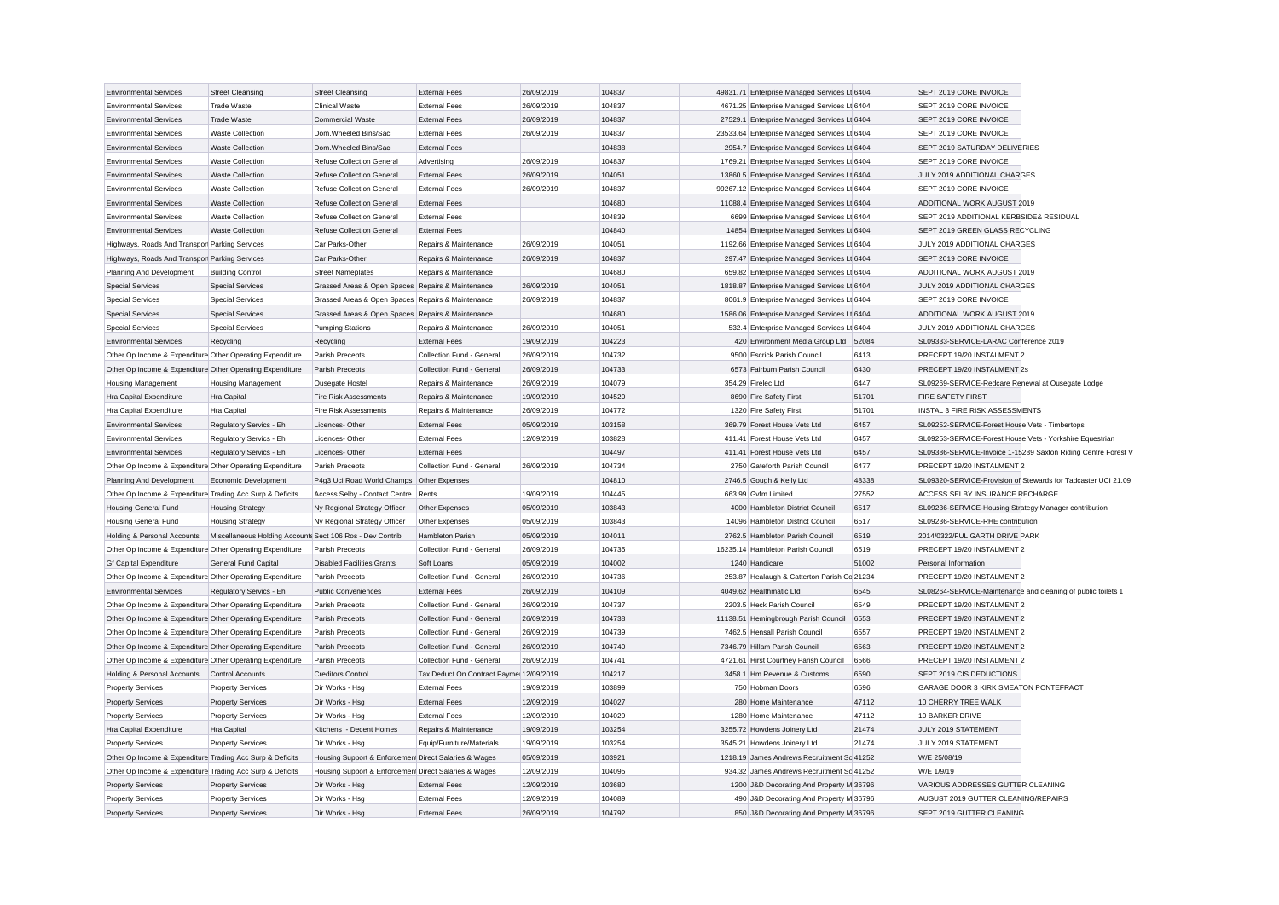| <b>Environmental Services</b>                             | <b>Street Cleansing</b>                                   | <b>Street Cleansing</b>                              | <b>External Fees</b>                    | 26/09/2019 | 104837 | 49831.71 Enterprise Managed Services Lt 6404 |       | SEPT 2019 CORE INVOICE                                       |                                                               |
|-----------------------------------------------------------|-----------------------------------------------------------|------------------------------------------------------|-----------------------------------------|------------|--------|----------------------------------------------|-------|--------------------------------------------------------------|---------------------------------------------------------------|
| <b>Environmental Services</b>                             | <b>Trade Waste</b>                                        | <b>Clinical Waste</b>                                | <b>External Fees</b>                    | 26/09/2019 | 104837 | 4671.25 Enterprise Managed Services Lt 6404  |       | SEPT 2019 CORE INVOICE                                       |                                                               |
| <b>Environmental Services</b>                             | <b>Trade Waste</b>                                        | Commercial Waste                                     | <b>External Fees</b>                    | 26/09/2019 | 104837 | 27529.1 Enterprise Managed Services Lt 6404  |       | SEPT 2019 CORE INVOICE                                       |                                                               |
| <b>Environmental Services</b>                             | <b>Waste Collection</b>                                   | Dom.Wheeled Bins/Sac                                 | <b>External Fees</b>                    | 26/09/2019 | 104837 | 23533.64 Enterprise Managed Services Lt 6404 |       | SEPT 2019 CORE INVOICE                                       |                                                               |
| <b>Environmental Services</b>                             | <b>Waste Collection</b>                                   | Dom.Wheeled Bins/Sac                                 | <b>External Fees</b>                    |            | 104838 | 2954.7 Enterprise Managed Services Lt 6404   |       | SEPT 2019 SATURDAY DELIVERIES                                |                                                               |
| <b>Environmental Services</b>                             | <b>Waste Collection</b>                                   | <b>Refuse Collection General</b>                     | Advertising                             | 26/09/2019 | 104837 | 1769.21 Enterprise Managed Services Lt 6404  |       | SEPT 2019 CORE INVOICE                                       |                                                               |
| <b>Environmental Services</b>                             | <b>Waste Collection</b>                                   | <b>Refuse Collection General</b>                     | <b>External Fees</b>                    | 26/09/2019 | 104051 | 13860.5 Enterprise Managed Services Lt 6404  |       | JULY 2019 ADDITIONAL CHARGES                                 |                                                               |
| <b>Environmental Services</b>                             | <b>Waste Collection</b>                                   | <b>Refuse Collection General</b>                     | <b>External Fees</b>                    | 26/09/2019 | 104837 | 99267.12 Enterprise Managed Services Lt 6404 |       | SEPT 2019 CORE INVOICE                                       |                                                               |
| <b>Environmental Services</b>                             | <b>Waste Collection</b>                                   | <b>Refuse Collection General</b>                     | <b>External Fees</b>                    |            | 104680 | 11088.4 Enterprise Managed Services Lt 6404  |       | ADDITIONAL WORK AUGUST 2019                                  |                                                               |
| <b>Environmental Services</b>                             | <b>Waste Collection</b>                                   | <b>Refuse Collection General</b>                     | <b>External Fees</b>                    |            | 104839 | 6699 Enterprise Managed Services Lt 6404     |       | SEPT 2019 ADDITIONAL KERBSIDE& RESIDUAL                      |                                                               |
| <b>Environmental Services</b>                             | <b>Waste Collection</b>                                   | <b>Refuse Collection General</b>                     | <b>External Fees</b>                    |            | 104840 | 14854 Enterprise Managed Services Lt 6404    |       | SEPT 2019 GREEN GLASS RECYCLING                              |                                                               |
| Highways, Roads And Transpor Parking Services             |                                                           | Car Parks-Other                                      | Repairs & Maintenance                   | 26/09/2019 | 104051 | 1192.66 Enterprise Managed Services Lt 6404  |       | JULY 2019 ADDITIONAL CHARGES                                 |                                                               |
| Highways, Roads And Transpor Parking Services             |                                                           | Car Parks-Other                                      | Repairs & Maintenance                   | 26/09/2019 | 104837 | 297.47 Enterprise Managed Services Lt 6404   |       | SEPT 2019 CORE INVOICE                                       |                                                               |
| Planning And Development                                  | <b>Building Control</b>                                   | <b>Street Nameplates</b>                             | Repairs & Maintenance                   |            | 104680 | 659.82 Enterprise Managed Services Lt 6404   |       | ADDITIONAL WORK AUGUST 2019                                  |                                                               |
| <b>Special Services</b>                                   | <b>Special Services</b>                                   | Grassed Areas & Open Spaces Repairs & Maintenance    |                                         | 26/09/2019 | 104051 | 1818.87 Enterprise Managed Services Lt 6404  |       | JULY 2019 ADDITIONAL CHARGES                                 |                                                               |
| <b>Special Services</b>                                   | Special Services                                          | Grassed Areas & Open Spaces Repairs & Maintenance    |                                         | 26/09/2019 | 104837 | 8061.9 Enterprise Managed Services Lt 6404   |       | SEPT 2019 CORE INVOICE                                       |                                                               |
| <b>Special Services</b>                                   | <b>Special Services</b>                                   | Grassed Areas & Open Spaces Repairs & Maintenance    |                                         |            | 104680 | 1586.06 Enterprise Managed Services Lt 6404  |       | ADDITIONAL WORK AUGUST 2019                                  |                                                               |
| <b>Special Services</b>                                   | <b>Special Services</b>                                   | <b>Pumping Stations</b>                              | Repairs & Maintenance                   | 26/09/2019 | 104051 | 532.4 Enterprise Managed Services Lt 6404    |       | JULY 2019 ADDITIONAL CHARGES                                 |                                                               |
| <b>Environmental Services</b>                             | Recycling                                                 | Recycling                                            | <b>External Fees</b>                    | 19/09/2019 | 104223 | 420 Environment Media Group Ltd 52084        |       | SL09333-SERVICE-LARAC Conference 2019                        |                                                               |
| Other Op Income & Expenditure Other Operating Expenditure |                                                           | Parish Precepts                                      | Collection Fund - General               | 26/09/2019 | 104732 | 9500 Escrick Parish Council                  | 6413  | PRECEPT 19/20 INSTALMENT 2                                   |                                                               |
| Other Op Income & Expenditure Other Operating Expenditure |                                                           | Parish Precepts                                      | Collection Fund - General               | 26/09/2019 | 104733 | 6573 Fairburn Parish Council                 | 6430  | PRECEPT 19/20 INSTALMENT 2s                                  |                                                               |
| <b>Housing Management</b>                                 | <b>Housing Management</b>                                 | Ousegate Hostel                                      | Repairs & Maintenance                   | 26/09/2019 | 104079 | 354.29 Firelec Ltd                           | 6447  | SL09269-SERVICE-Redcare Renewal at Ousegate Lodge            |                                                               |
| <b>Hra Capital Expenditure</b>                            | Hra Capital                                               | <b>Fire Risk Assessments</b>                         | Repairs & Maintenance                   | 19/09/2019 | 104520 | 8690 Fire Safety First                       | 51701 | FIRE SAFETY FIRST                                            |                                                               |
| <b>Hra Capital Expenditure</b>                            | Hra Capital                                               | <b>Fire Risk Assessments</b>                         | Repairs & Maintenance                   | 26/09/2019 | 104772 | 1320 Fire Safety First                       | 51701 | INSTAL 3 FIRE RISK ASSESSMENTS                               |                                                               |
| <b>Environmental Services</b>                             | Regulatory Servics - Eh                                   | Licences-Other                                       | <b>External Fees</b>                    | 05/09/2019 | 103158 | 369.79 Forest House Vets Ltd                 | 6457  | SL09252-SERVICE-Forest House Vets - Timbertops               |                                                               |
| <b>Environmental Services</b>                             | Regulatory Servics - Eh                                   | Licences-Other                                       | <b>External Fees</b>                    | 12/09/2019 | 103828 | 411.41 Forest House Vets Ltd                 | 6457  | SL09253-SERVICE-Forest House Vets - Yorkshire Equestrian     |                                                               |
| <b>Environmental Services</b>                             | Regulatory Servics - Eh                                   | Licences-Other                                       | <b>External Fees</b>                    |            | 104497 | 411.41 Forest House Vets Ltd                 | 6457  |                                                              | SL09386-SERVICE-Invoice 1-15289 Saxton Riding Centre Forest V |
| Other Op Income & Expenditure Other Operating Expenditure |                                                           | Parish Precepts                                      | Collection Fund - General               | 26/09/2019 | 104734 | 2750 Gateforth Parish Council                | 6477  | PRECEPT 19/20 INSTALMENT 2                                   |                                                               |
| Planning And Development                                  | Economic Development                                      | P4g3 Uci Road World Champs Other Expenses            |                                         |            | 104810 | 2746.5 Gough & Kelly Ltd                     | 48338 |                                                              | SL09320-SERVICE-Provision of Stewards for Tadcaster UCI 21.09 |
| Other Op Income & Expenditure Trading Acc Surp & Deficits |                                                           | Access Selby - Contact Centre                        | Rents                                   | 19/09/2019 | 104445 | 663.99 Gyfm Limited                          | 27552 | ACCESS SELBY INSURANCE RECHARGE                              |                                                               |
| <b>Housing General Fund</b>                               | <b>Housing Strategy</b>                                   | Ny Regional Strategy Officer                         | Other Expenses                          | 05/09/2019 | 103843 | 4000 Hambleton District Council              | 6517  | SL09236-SERVICE-Housing Strategy Manager contribution        |                                                               |
| <b>Housing General Fund</b>                               | <b>Housing Strategy</b>                                   | Ny Regional Strategy Officer                         | Other Expenses                          | 05/09/2019 | 103843 | 14096 Hambleton District Council             | 6517  | SL09236-SERVICE-RHE contribution                             |                                                               |
| Holding & Personal Accounts                               | Miscellaneous Holding Accounts Sect 106 Ros - Dev Contrib |                                                      | Hambleton Parish                        | 05/09/2019 | 104011 | 2762.5 Hambleton Parish Council              | 6519  | 2014/0322/FUL GARTH DRIVE PARK                               |                                                               |
| Other Op Income & Expenditure Other Operating Expenditure |                                                           | Parish Precepts                                      | Collection Fund - General               | 26/09/2019 | 104735 | 16235.14 Hambleton Parish Council            | 6519  | PRECEPT 19/20 INSTALMENT 2                                   |                                                               |
| <b>Gf Capital Expenditure</b>                             | <b>General Fund Capital</b>                               | <b>Disabled Facilities Grants</b>                    | Soft Loans                              | 05/09/2019 | 104002 | 1240 Handicare                               | 51002 | Personal Information                                         |                                                               |
| Other Op Income & Expenditure Other Operating Expenditure |                                                           | Parish Precepts                                      | Collection Fund - General               | 26/09/2019 | 104736 | 253.87 Healaugh & Catterton Parish Co 21234  |       | PRECEPT 19/20 INSTALMENT 2                                   |                                                               |
| <b>Environmental Services</b>                             | Regulatory Servics - Eh                                   | <b>Public Conveniences</b>                           | <b>External Fees</b>                    | 26/09/2019 | 104109 | 4049.62 Healthmatic Ltd                      | 6545  | SL08264-SERVICE-Maintenance and cleaning of public toilets 1 |                                                               |
| Other Op Income & Expenditure Other Operating Expenditure |                                                           | Parish Precepts                                      | Collection Fund - General               | 26/09/2019 | 104737 | 2203.5 Heck Parish Council                   | 6549  | PRECEPT 19/20 INSTALMENT 2                                   |                                                               |
| Other Op Income & Expenditure Other Operating Expenditure |                                                           | Parish Precepts                                      | Collection Fund - General               | 26/09/2019 | 104738 | 11138.51 Hemingbrough Parish Council         | 6553  | PRECEPT 19/20 INSTALMENT 2                                   |                                                               |
| Other Op Income & Expenditure Other Operating Expenditure |                                                           | Parish Precepts                                      | Collection Fund - General               | 26/09/2019 | 104739 | 7462.5 Hensall Parish Council                | 6557  | PRECEPT 19/20 INSTALMENT 2                                   |                                                               |
| Other Op Income & Expenditure Other Operating Expenditure |                                                           | Parish Precepts                                      | Collection Fund - Genera                | 26/09/2019 | 104740 | 7346.79 Hillam Parish Council                | 6563  | PRECEPT 19/20 INSTALMENT 2                                   |                                                               |
| Other Op Income & Expenditure Other Operating Expenditure |                                                           | Parish Precepts                                      | Collection Fund - General               | 26/09/2019 | 104741 | 4721.61 Hirst Courtney Parish Council        | 6566  | PRECEPT 19/20 INSTALMENT 2                                   |                                                               |
| Holding & Personal Accounts Control Accounts              |                                                           | <b>Creditors Control</b>                             | Tax Deduct On Contract Payme 12/09/2019 |            | 104217 | 3458.1 Hm Revenue & Customs                  | 6590  | SEPT 2019 CIS DEDUCTIONS                                     |                                                               |
| <b>Property Services</b>                                  | <b>Property Services</b>                                  | Dir Works - Hsa                                      | <b>External Fees</b>                    | 19/09/2019 | 103899 | 750 Hobman Doors                             | 6596  | GARAGE DOOR 3 KIRK SMEATON PONTEFRACT                        |                                                               |
| <b>Property Services</b>                                  | <b>Property Services</b>                                  | Dir Works - Hsg                                      | <b>External Fees</b>                    | 12/09/2019 | 104027 | 280 Home Maintenance                         | 47112 | 10 CHERRY TREE WALK                                          |                                                               |
| <b>Property Services</b>                                  | <b>Property Services</b>                                  | Dir Works - Hsg                                      | <b>External Fees</b>                    | 12/09/2019 | 104029 | 1280 Home Maintenance                        | 47112 | 10 BARKER DRIVE                                              |                                                               |
| Hra Capital Expenditure                                   | <b>Hra Capital</b>                                        | Kitchens - Decent Homes                              | Repairs & Maintenance                   | 19/09/2019 | 103254 | 3255.72 Howdens Joinery Ltd                  | 21474 | JULY 2019 STATEMENT                                          |                                                               |
| <b>Property Services</b>                                  | <b>Property Services</b>                                  | Dir Works - Hsg                                      | Equip/Furniture/Materials               | 19/09/2019 | 103254 | 3545.21 Howdens Joinery Ltd                  | 21474 | JULY 2019 STATEMENT                                          |                                                               |
| Other Op Income & Expenditure Trading Acc Surp & Deficits |                                                           | Housing Support & Enforcemen Direct Salaries & Wages |                                         | 05/09/2019 | 103921 | 1218.19 James Andrews Recruitment Sc 41252   |       | W/E 25/08/19                                                 |                                                               |
| Other Op Income & Expenditure Trading Acc Surp & Deficits |                                                           | Housing Support & Enforcemen Direct Salaries & Wages |                                         | 12/09/2019 | 104095 | 934.32 James Andrews Recruitment Sc 41252    |       | W/E 1/9/19                                                   |                                                               |
| <b>Property Services</b>                                  | <b>Property Services</b>                                  | Dir Works - Hsg                                      | <b>External Fees</b>                    | 12/09/2019 | 103680 | 1200 J&D Decorating And Property M 36796     |       | VARIOUS ADDRESSES GUTTER CLEANING                            |                                                               |
| <b>Property Services</b>                                  | <b>Property Services</b>                                  | Dir Works - Hsg                                      | <b>External Fees</b>                    | 12/09/2019 | 104089 | 490 J&D Decorating And Property M 36796      |       | AUGUST 2019 GUTTER CLEANING/REPAIRS                          |                                                               |
| <b>Property Services</b>                                  | <b>Property Services</b>                                  | Dir Works - Hsg                                      | <b>External Fees</b>                    | 26/09/2019 | 104792 | 850 J&D Decorating And Property M 36796      |       | SEPT 2019 GUTTER CLEANING                                    |                                                               |
|                                                           |                                                           |                                                      |                                         |            |        |                                              |       |                                                              |                                                               |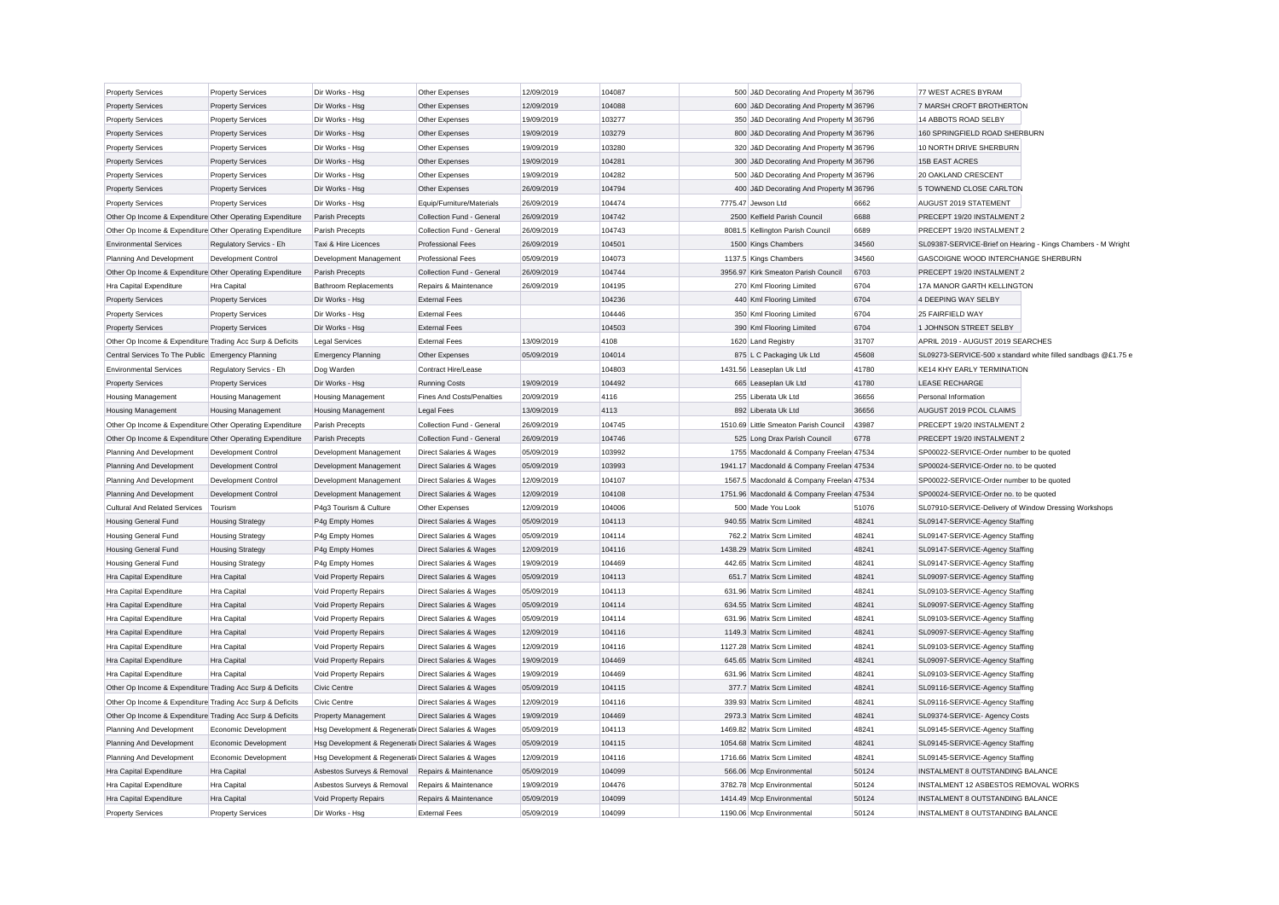| <b>Property Services</b>                                  | <b>Property Services</b>   | Dir Works - Hsg                                      | Other Expenses                     | 12/09/2019 | 104087 | 500 J&D Decorating And Property M 36796   |       | 77 WEST ACRES BYRAM                                   |                                                               |
|-----------------------------------------------------------|----------------------------|------------------------------------------------------|------------------------------------|------------|--------|-------------------------------------------|-------|-------------------------------------------------------|---------------------------------------------------------------|
| <b>Property Services</b>                                  | <b>Property Services</b>   | Dir Works - Hsg                                      | Other Expenses                     | 12/09/2019 | 104088 | 600 J&D Decorating And Property M 36796   |       | 7 MARSH CROFT BROTHERTON                              |                                                               |
| <b>Property Services</b>                                  | <b>Property Services</b>   | Dir Works - Hsg                                      | Other Expenses                     | 19/09/2019 | 103277 | 350 J&D Decorating And Property M 36796   |       | 14 ABBOTS ROAD SELBY                                  |                                                               |
| <b>Property Services</b>                                  | <b>Property Services</b>   | Dir Works - Hsg                                      | Other Expenses                     | 19/09/2019 | 103279 | 800 J&D Decorating And Property M 36796   |       | 160 SPRINGFIELD ROAD SHERBURN                         |                                                               |
| <b>Property Services</b>                                  | <b>Property Services</b>   | Dir Works - Hsg                                      | Other Expenses                     | 19/09/2019 | 103280 | 320 J&D Decorating And Property M 36796   |       | 10 NORTH DRIVE SHERBURN                               |                                                               |
| <b>Property Services</b>                                  | <b>Property Services</b>   | Dir Works - Hsg                                      | Other Expenses                     | 19/09/2019 | 104281 | 300 J&D Decorating And Property M 36796   |       | <b>15B EAST ACRES</b>                                 |                                                               |
| <b>Property Services</b>                                  | <b>Property Services</b>   | Dir Works - Hsg                                      | Other Expenses                     | 19/09/2019 | 104282 | 500 J&D Decorating And Property M 36796   |       | 20 OAKLAND CRESCENT                                   |                                                               |
| <b>Property Services</b>                                  | <b>Property Services</b>   | Dir Works - Hsg                                      | Other Expenses                     | 26/09/2019 | 104794 | 400 J&D Decorating And Property M 36796   |       | 5 TOWNEND CLOSE CARLTON                               |                                                               |
| <b>Property Services</b>                                  | <b>Property Services</b>   | Dir Works - Hsg                                      | Equip/Furniture/Materials          | 26/09/2019 | 104474 | 7775.47 Jewson Ltd                        | 6662  | AUGUST 2019 STATEMENT                                 |                                                               |
| Other Op Income & Expenditure Other Operating Expenditure |                            | Parish Precepts                                      | Collection Fund - General          | 26/09/2019 | 104742 | 2500 Kelfield Parish Council              | 6688  | PRECEPT 19/20 INSTALMENT 2                            |                                                               |
| Other Op Income & Expenditure Other Operating Expenditure |                            | Parish Precepts                                      | Collection Fund - General          | 26/09/2019 | 104743 | 8081.5 Kellington Parish Council          | 6689  | PRECEPT 19/20 INSTALMENT 2                            |                                                               |
| <b>Environmental Services</b>                             | Regulatory Servics - Eh    | Taxi & Hire Licences                                 | <b>Professional Fees</b>           | 26/09/2019 | 104501 | 1500 Kings Chambers                       | 34560 |                                                       | SL09387-SERVICE-Brief on Hearing - Kings Chambers - M Wright  |
| Planning And Development                                  | Development Control        | Development Management                               | <b>Professional Fees</b>           | 05/09/2019 | 104073 | 1137.5 Kings Chambers                     | 34560 | GASCOIGNE WOOD INTERCHANGE SHERBURN                   |                                                               |
| Other Op Income & Expenditure Other Operating Expenditure |                            | Parish Precepts                                      | Collection Fund - General          | 26/09/2019 | 104744 | 3956.97 Kirk Smeaton Parish Council       | 6703  | PRECEPT 19/20 INSTALMENT 2                            |                                                               |
| Hra Capital Expenditure                                   | <b>Hra Capital</b>         | <b>Bathroom Replacements</b>                         | Repairs & Maintenance              | 26/09/2019 | 104195 | 270 Kml Flooring Limited                  | 6704  | 17A MANOR GARTH KELLINGTON                            |                                                               |
| <b>Property Services</b>                                  | <b>Property Services</b>   | Dir Works - Hsg                                      | <b>External Fees</b>               |            | 104236 | 440 Kml Flooring Limited                  | 6704  | <b>4 DEEPING WAY SELBY</b>                            |                                                               |
| <b>Property Services</b>                                  | <b>Property Services</b>   | Dir Works - Hsg                                      | <b>External Fees</b>               |            | 104446 | 350 Kml Flooring Limited                  | 6704  | 25 FAIRFIELD WAY                                      |                                                               |
| <b>Property Services</b>                                  | <b>Property Services</b>   | Dir Works - Hsg                                      | <b>External Fees</b>               |            | 104503 | 390 Kml Flooring Limited                  | 6704  | 1 JOHNSON STREET SELBY                                |                                                               |
| Other Op Income & Expenditure Trading Acc Surp & Deficits |                            | <b>Legal Services</b>                                | <b>External Fees</b>               | 13/09/2019 | 4108   | 1620 Land Registry                        | 31707 | APRIL 2019 - AUGUST 2019 SEARCHES                     |                                                               |
| Central Services To The Public Emergency Planning         |                            | <b>Emergency Planning</b>                            | Other Expenses                     | 05/09/2019 | 104014 | 875 L C Packaging Uk Ltd                  | 45608 |                                                       | SL09273-SERVICE-500 x standard white filled sandbags @£1.75 e |
| <b>Environmental Services</b>                             | Regulatory Servics - Eh    | Dog Warden                                           | Contract Hire/Lease                |            | 104803 | 1431.56 Leaseplan Uk Ltd                  | 41780 | <b>KE14 KHY EARLY TERMINATION</b>                     |                                                               |
| <b>Property Services</b>                                  | <b>Property Services</b>   | Dir Works - Hsg                                      | <b>Running Costs</b>               | 19/09/2019 | 104492 | 665 Leaseplan Uk Ltd                      | 41780 | <b>LEASE RECHARGE</b>                                 |                                                               |
|                                                           |                            |                                                      |                                    |            |        |                                           | 36656 |                                                       |                                                               |
| <b>Housing Management</b>                                 | <b>Housing Management</b>  | <b>Housing Management</b>                            | <b>Fines And Costs/Penalties</b>   | 20/09/2019 | 4116   | 255 Liberata Uk Ltd                       | 36656 | Personal Information                                  |                                                               |
| <b>Housing Management</b>                                 | <b>Housing Management</b>  | <b>Housing Management</b>                            | <b>Legal Fees</b>                  | 13/09/2019 | 4113   | 892 Liberata Uk Ltd                       |       | AUGUST 2019 PCOL CLAIMS                               |                                                               |
| Other Op Income & Expenditure Other Operating Expenditure |                            | Parish Precepts                                      | Collection Fund - General          | 26/09/2019 | 104745 | 1510.69 Little Smeaton Parish Council     | 43987 | PRECEPT 19/20 INSTALMENT 2                            |                                                               |
| Other Op Income & Expenditure Other Operating Expenditure |                            | Parish Precepts                                      | Collection Fund - General          | 26/09/2019 | 104746 | 525 Long Drax Parish Council              | 6778  | PRECEPT 19/20 INSTALMENT 2                            |                                                               |
| Planning And Development                                  | Development Control        | Development Management                               | Direct Salaries & Wages            | 05/09/2019 | 103992 | 1755 Macdonald & Company Freelan 47534    |       | SP00022-SERVICE-Order number to be quoted             |                                                               |
| Planning And Development                                  | Development Control        | Development Management                               | Direct Salaries & Wages            | 05/09/2019 | 103993 | 1941.17 Macdonald & Company Freelan 47534 |       | SP00024-SERVICE-Order no. to be quoted                |                                                               |
| Planning And Development                                  | Development Control        | Development Management                               | Direct Salaries & Wages            | 12/09/2019 | 104107 | 1567.5 Macdonald & Company Freelan 47534  |       | SP00022-SERVICE-Order number to be quoted             |                                                               |
| Planning And Development                                  | <b>Development Control</b> | Development Management                               | <b>Direct Salaries &amp; Wages</b> | 12/09/2019 | 104108 | 1751.96 Macdonald & Company Freelan 47534 |       | SP00024-SERVICE-Order no, to be quoted                |                                                               |
| <b>Cultural And Related Services</b>                      | Tourism                    | P4g3 Tourism & Culture                               | Other Expenses                     | 12/09/2019 | 104006 | 500 Made You Look                         | 51076 | SL07910-SERVICE-Delivery of Window Dressing Workshops |                                                               |
| <b>Housing General Fund</b>                               | <b>Housing Strategy</b>    | P4g Empty Homes                                      | Direct Salaries & Wages            | 05/09/2019 | 104113 | 940.55 Matrix Scm Limited                 | 48241 | SL09147-SERVICE-Agency Staffing                       |                                                               |
| <b>Housing General Fund</b>                               | <b>Housing Strategy</b>    | P4g Empty Homes                                      | Direct Salaries & Wages            | 05/09/2019 | 104114 | 762.2 Matrix Scm Limited                  | 48241 | SL09147-SERVICE-Agency Staffing                       |                                                               |
| <b>Housing General Fund</b>                               | <b>Housing Strategy</b>    | P4g Empty Homes                                      | Direct Salaries & Wages            | 12/09/2019 | 104116 | 1438.29 Matrix Scm Limited                | 48241 | SL09147-SERVICE-Agency Staffing                       |                                                               |
| <b>Housing General Fund</b>                               | <b>Housing Strategy</b>    | P4g Empty Homes                                      | Direct Salaries & Wages            | 19/09/2019 | 104469 | 442.65 Matrix Scm Limited                 | 48241 | SL09147-SERVICE-Agency Staffing                       |                                                               |
| Hra Capital Expenditure                                   | <b>Hra</b> Capital         | Void Property Repairs                                | Direct Salaries & Wages            | 05/09/2019 | 104113 | 651.7 Matrix Scm Limited                  | 48241 | SL09097-SERVICE-Agency Staffing                       |                                                               |
| Hra Capital Expenditure                                   | Hra Capital                | Void Property Repairs                                | Direct Salaries & Wages            | 05/09/2019 | 104113 | 631.96 Matrix Scm Limited                 | 48241 | SL09103-SERVICE-Agency Staffing                       |                                                               |
| Hra Capital Expenditure                                   | <b>Hra Capital</b>         | Void Property Repairs                                | Direct Salaries & Wages            | 05/09/2019 | 104114 | 634.55 Matrix Scm Limited                 | 48241 | SL09097-SERVICE-Agency Staffing                       |                                                               |
| Hra Capital Expenditure                                   | <b>Hra Capital</b>         | Void Property Repairs                                | Direct Salaries & Wages            | 05/09/2019 | 104114 | 631.96 Matrix Scm Limited                 | 48241 | SL09103-SERVICE-Agency Staffing                       |                                                               |
| Hra Capital Expenditure                                   | Hra Capital                | Void Property Repairs                                | Direct Salaries & Wages            | 12/09/2019 | 104116 | 1149.3 Matrix Scm Limited                 | 48241 | SL09097-SERVICE-Agency Staffing                       |                                                               |
| Hra Capital Expenditure                                   | <b>Hra</b> Capital         | Void Property Repairs                                | <b>Direct Salaries &amp; Wages</b> | 12/09/2019 | 104116 | 1127.28 Matrix Scm Limited                | 48241 | SL09103-SERVICE-Agency Staffing                       |                                                               |
| Hra Capital Expenditure                                   | Hra Capital                | Void Property Repairs                                | Direct Salaries & Wages            | 19/09/2019 | 104469 | 645.65 Matrix Scm Limited                 | 48241 | SL09097-SERVICE-Agency Staffing                       |                                                               |
| Hra Capital Expenditure                                   | <b>Hra Capital</b>         | Void Property Repairs                                | Direct Salaries & Wages            | 19/09/2019 | 104469 | 631.96 Matrix Scm Limited                 | 48241 | SL09103-SERVICE-Agency Staffing                       |                                                               |
| Other Op Income & Expenditure Trading Acc Surp & Deficits |                            | <b>Civic Centre</b>                                  | Direct Salaries & Wages            | 05/09/2019 | 104115 | 377.7 Matrix Scm Limited                  | 48241 | SL09116-SERVICE-Agency Staffing                       |                                                               |
| Other Op Income & Expenditure Trading Acc Surp & Deficits |                            | Civic Centre                                         | Direct Salaries & Wages            | 12/09/2019 | 104116 | 339.93 Matrix Scm Limited                 | 48241 | SL09116-SERVICE-Agency Staffing                       |                                                               |
| Other Op Income & Expenditure Trading Acc Surp & Deficits |                            | Property Management                                  | <b>Direct Salaries &amp; Wages</b> | 19/09/2019 | 104469 | 2973.3 Matrix Scm Limited                 | 48241 | SL09374-SERVICE- Agency Costs                         |                                                               |
| Planning And Development                                  | Economic Development       | Hsg Development & Regenerati Direct Salaries & Wages |                                    | 05/09/2019 | 104113 | 1469.82 Matrix Scm Limited                | 48241 | SL09145-SERVICE-Agency Staffing                       |                                                               |
| Planning And Development                                  | Economic Development       | Hsg Development & Regenerati Direct Salaries & Wages |                                    | 05/09/2019 | 104115 | 1054.68 Matrix Scm Limited                | 48241 | SL09145-SERVICE-Agency Staffing                       |                                                               |
| Planning And Development                                  | Economic Development       | Hsg Development & Regenerati Direct Salaries & Wages |                                    | 12/09/2019 | 104116 | 1716.66 Matrix Scm Limited                | 48241 | SL09145-SERVICE-Agency Staffing                       |                                                               |
| Hra Capital Expenditure                                   | Hra Capital                | Asbestos Surveys & Removal                           | Repairs & Maintenance              | 05/09/2019 | 104099 | 566.06 Mcp Environmental                  | 50124 | INSTALMENT 8 OUTSTANDING BALANCE                      |                                                               |
| Hra Capital Expenditure                                   | <b>Hra Capital</b>         | Asbestos Surveys & Removal                           | Repairs & Maintenance              | 19/09/2019 | 104476 | 3782.78 Mcp Environmental                 | 50124 | INSTALMENT 12 ASBESTOS REMOVAL WORKS                  |                                                               |
| Hra Capital Expenditure                                   | <b>Hra</b> Capital         | Void Property Repairs                                | Repairs & Maintenance              | 05/09/2019 | 104099 | 1414.49 Mcp Environmental                 | 50124 | INSTALMENT 8 OUTSTANDING BALANCE                      |                                                               |
| <b>Property Services</b>                                  | <b>Property Services</b>   | Dir Works - Hsg                                      | <b>External Fees</b>               | 05/09/2019 | 104099 | 1190.06 Mcp Environmental                 | 50124 | INSTALMENT 8 OUTSTANDING BALANCE                      |                                                               |
|                                                           |                            |                                                      |                                    |            |        |                                           |       |                                                       |                                                               |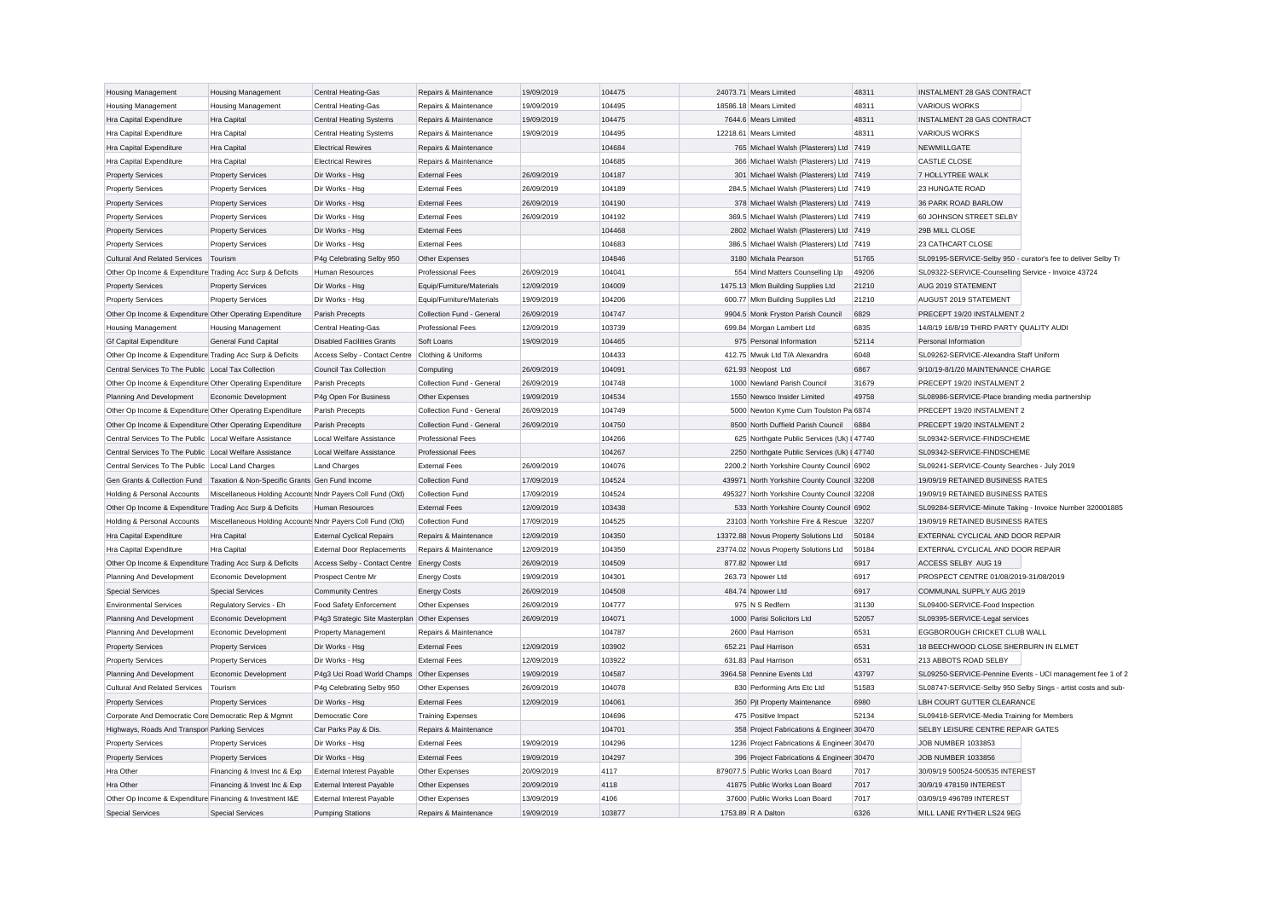| <b>Housing Management</b>                                 | Housing Management                                                          | Central Heating-Gas                               | Repairs & Maintenance     | 19/09/2019 | 104475 | 24073.71 Mears Limited                      | 48311 | <b>INSTALMENT 28 GAS CONTRACT</b>                             |
|-----------------------------------------------------------|-----------------------------------------------------------------------------|---------------------------------------------------|---------------------------|------------|--------|---------------------------------------------|-------|---------------------------------------------------------------|
| <b>Housing Management</b>                                 | <b>Housing Management</b>                                                   | Central Heating-Gas                               | Repairs & Maintenance     | 19/09/2019 | 104495 | 18586.18 Mears Limited                      | 48311 | <b>VARIOUS WORKS</b>                                          |
| Hra Capital Expenditure                                   | <b>Hra Capital</b>                                                          | <b>Central Heating Systems</b>                    | Repairs & Maintenance     | 19/09/2019 | 104475 | 7644.6 Mears Limited                        | 48311 | INSTALMENT 28 GAS CONTRACT                                    |
| Hra Capital Expenditure                                   | <b>Hra Capital</b>                                                          | <b>Central Heating Systems</b>                    | Repairs & Maintenance     | 19/09/2019 | 104495 | 12218.61 Mears Limited                      | 48311 | <b>VARIOUS WORKS</b>                                          |
| Hra Capital Expenditure                                   | Hra Capital                                                                 | <b>Electrical Rewires</b>                         | Repairs & Maintenance     |            | 104684 | 765 Michael Walsh (Plasterers) Ltd 7419     |       | <b>NEWMILLGATE</b>                                            |
| Hra Capital Expenditure                                   | Hra Capital                                                                 | <b>Electrical Rewires</b>                         | Repairs & Maintenance     |            | 104685 | 366 Michael Walsh (Plasterers) Ltd 7419     |       | CASTLE CLOSE                                                  |
| <b>Property Services</b>                                  | <b>Property Services</b>                                                    | Dir Works - Hsa                                   | <b>External Fees</b>      | 26/09/2019 | 104187 | 301 Michael Walsh (Plasterers) Ltd 7419     |       | 7 HOLLYTREE WALK                                              |
| <b>Property Services</b>                                  | <b>Property Services</b>                                                    | Dir Works - Hsg                                   | <b>External Fees</b>      | 26/09/2019 | 104189 | 284.5 Michael Walsh (Plasterers) Ltd 7419   |       | 23 HUNGATE ROAD                                               |
| <b>Property Services</b>                                  | <b>Property Services</b>                                                    | Dir Works - Hsg                                   | <b>External Fees</b>      | 26/09/2019 | 104190 | 378 Michael Walsh (Plasterers) Ltd 7419     |       | 36 PARK ROAD BARLOW                                           |
| <b>Property Services</b>                                  | <b>Property Services</b>                                                    | Dir Works - Hsg                                   | <b>External Fees</b>      | 26/09/2019 | 104192 | 369.5 Michael Walsh (Plasterers) Ltd 7419   |       | 60 JOHNSON STREET SELBY                                       |
| <b>Property Services</b>                                  | <b>Property Services</b>                                                    | Dir Works - Hsg                                   | <b>External Fees</b>      |            | 104468 | 2802 Michael Walsh (Plasterers) Ltd 7419    |       | 29B MILL CLOSE                                                |
| <b>Property Services</b>                                  | <b>Property Services</b>                                                    | Dir Works - Hsa                                   | <b>External Fees</b>      |            | 104683 | 386.5 Michael Walsh (Plasterers) Ltd 7419   |       | 23 CATHCART CLOSE                                             |
| Cultural And Related Services Tourism                     |                                                                             | P4g Celebrating Selby 950                         | Other Expenses            |            | 104846 | 3180 Michala Pearson                        | 51765 | SL09195-SERVICE-Selby 950 - curator's fee to deliver Selby Tr |
| Other Op Income & Expenditure Trading Acc Surp & Deficits |                                                                             | Human Resources                                   | <b>Professional Fees</b>  | 26/09/2019 | 104041 | 554 Mind Matters Counselling Llp            | 49206 | SL09322-SERVICE-Counselling Service - Invoice 43724           |
| <b>Property Services</b>                                  | <b>Property Services</b>                                                    | Dir Works - Hsg                                   | Equip/Furniture/Materials | 12/09/2019 | 104009 | 1475.13 Mkm Building Supplies Ltd           | 21210 | AUG 2019 STATEMENT                                            |
| <b>Property Services</b>                                  | <b>Property Services</b>                                                    | Dir Works - Hsg                                   | Equip/Furniture/Materials | 19/09/2019 | 104206 | 600.77 Mkm Building Supplies Ltd            | 21210 | AUGUST 2019 STATEMENT                                         |
| Other Op Income & Expenditure Other Operating Expenditure |                                                                             | Parish Precepts                                   | Collection Fund - General | 26/09/2019 | 104747 | 9904.5 Monk Fryston Parish Council          | 6829  | PRECEPT 19/20 INSTALMENT 2                                    |
| Housing Management                                        | <b>Housing Management</b>                                                   | Central Heating-Gas                               | <b>Professional Fees</b>  | 12/09/2019 | 103739 | 699.84 Morgan Lambert Ltd                   | 6835  | 14/8/19 16/8/19 THIRD PARTY QUALITY AUDI                      |
| <b>Gf Capital Expenditure</b>                             | <b>General Fund Capital</b>                                                 | <b>Disabled Facilities Grants</b>                 | Soft Loans                | 19/09/2019 | 104465 | 975 Personal Information                    | 52114 | Personal Information                                          |
| Other Op Income & Expenditure Trading Acc Surp & Deficits |                                                                             | Access Selby - Contact Centre Clothing & Uniforms |                           |            | 104433 | 412.75 Mwuk Ltd T/A Alexandra               | 6048  | SL09262-SERVICE-Alexandra Staff Uniform                       |
| Central Services To The Public Local Tax Collection       |                                                                             | <b>Council Tax Collection</b>                     | Computing                 | 26/09/2019 | 104091 | 621.93 Neopost Ltd                          | 6867  | 9/10/19-8/1/20 MAINTENANCE CHARGE                             |
| Other Op Income & Expenditure Other Operating Expenditure |                                                                             | Parish Precepts                                   | Collection Fund - General | 26/09/2019 | 104748 | 1000 Newland Parish Council                 | 31679 | PRECEPT 19/20 INSTALMENT 2                                    |
| Planning And Development                                  | Economic Development                                                        | P4g Open For Business                             | Other Expenses            | 19/09/2019 | 104534 | 1550 Newsco Insider Limited                 | 49758 | SL08986-SERVICE-Place branding media partnership              |
| Other Op Income & Expenditure Other Operating Expenditure |                                                                             | Parish Precepts                                   | Collection Fund - General | 26/09/2019 | 104749 | 5000 Newton Kyme Cum Toulston Pa 6874       |       | PRECEPT 19/20 INSTALMENT 2                                    |
| Other Op Income & Expenditure Other Operating Expenditure |                                                                             | Parish Precepts                                   | Collection Fund - General | 26/09/2019 | 104750 | 8500 North Duffield Parish Council          | 6884  | PRECEPT 19/20 INSTALMENT 2                                    |
| Central Services To The Public Local Welfare Assistance   |                                                                             | Local Welfare Assistance                          | <b>Professional Fees</b>  |            | 104266 | 625 Northgate Public Services (Uk) I 47740  |       | SL09342-SERVICE-FINDSCHEME                                    |
| Central Services To The Public Local Welfare Assistance   |                                                                             | Local Welfare Assistance                          | <b>Professional Fees</b>  |            | 104267 | 2250 Northgate Public Services (Uk) I 47740 |       | SL09342-SERVICE-FINDSCHEME                                    |
| Central Services To The Public   Local Land Charges       |                                                                             | <b>Land Charges</b>                               | <b>External Fees</b>      | 26/09/2019 | 104076 | 2200.2 North Yorkshire County Council 6902  |       | SL09241-SERVICE-County Searches - July 2019                   |
|                                                           | Gen Grants & Collection Fund Taxation & Non-Specific Grants Gen Fund Income |                                                   | <b>Collection Fund</b>    | 17/09/2019 | 104524 | 439971 North Yorkshire County Council 32208 |       | 19/09/19 RETAINED BUSINESS RATES                              |
| Holding & Personal Accounts                               | Miscellaneous Holding Accounts Nndr Payers Coll Fund (Old)                  |                                                   | <b>Collection Fund</b>    | 17/09/2019 | 104524 | 495327 North Yorkshire County Council 32208 |       | 19/09/19 RETAINED BUSINESS RATES                              |
| Other Op Income & Expenditure Trading Acc Surp & Deficits |                                                                             | <b>Human Resources</b>                            | <b>External Fees</b>      | 12/09/2019 | 103438 | 533 North Yorkshire County Council 6902     |       | SL09284-SERVICE-Minute Taking - Invoice Number 320001885      |
| Holding & Personal Accounts                               | Miscellaneous Holding Accounts Nndr Payers Coll Fund (Old)                  |                                                   | Collection Fund           | 17/09/2019 | 104525 | 23103 North Yorkshire Fire & Rescue 32207   |       | 19/09/19 RETAINED BUSINESS RATES                              |
| Hra Capital Expenditure                                   | <b>Hra Capital</b>                                                          | <b>External Cyclical Repairs</b>                  | Repairs & Maintenance     | 12/09/2019 | 104350 | 13372.88 Novus Property Solutions Ltd       | 50184 | EXTERNAL CYCLICAL AND DOOR REPAIR                             |
| Hra Capital Expenditure                                   | <b>Hra Capital</b>                                                          | <b>External Door Replacements</b>                 | Repairs & Maintenance     | 12/09/2019 | 104350 | 23774.02 Novus Property Solutions Ltd       | 50184 | EXTERNAL CYCLICAL AND DOOR REPAIR                             |
| Other Op Income & Expenditure Trading Acc Surp & Deficits |                                                                             | Access Selby - Contact Centre                     | <b>Energy Costs</b>       | 26/09/2019 | 104509 | 877.82 Npower Ltd                           | 6917  | ACCESS SELBY AUG 19                                           |
| Planning And Development                                  | Economic Development                                                        | Prospect Centre Mr                                | <b>Energy Costs</b>       | 19/09/2019 | 104301 | 263.73 Npower Ltd                           | 6917  | PROSPECT CENTRE 01/08/2019-31/08/2019                         |
| <b>Special Services</b>                                   | <b>Special Services</b>                                                     | <b>Community Centres</b>                          | <b>Energy Costs</b>       | 26/09/2019 | 104508 | 484.74 Npower Ltd                           | 6917  | COMMUNAL SUPPLY AUG 2019                                      |
| <b>Environmental Services</b>                             | Regulatory Servics - Eh                                                     | Food Safety Enforcement                           | Other Expenses            | 26/09/2019 | 104777 | 975 N S Redfern                             | 31130 | SL09400-SERVICE-Food Inspection                               |
| Planning And Development                                  | Economic Development                                                        | P4g3 Strategic Site Masterplan Other Expenses     |                           | 26/09/2019 | 104071 | 1000 Parisi Solicitors Ltd                  | 52057 | SL09395-SERVICE-Legal services                                |
| Planning And Development                                  | Economic Development                                                        | Property Management                               | Repairs & Maintenance     |            | 104787 | 2600 Paul Harrison                          | 6531  | EGGBOROUGH CRICKET CLUB WALL                                  |
| <b>Property Services</b>                                  | <b>Property Services</b>                                                    | Dir Works - Hsg                                   | <b>External Fees</b>      | 12/09/2019 | 103902 | 652.21 Paul Harrison                        | 6531  | 18 BEECHWOOD CLOSE SHERBURN IN ELMET                          |
| <b>Property Services</b>                                  | <b>Property Services</b>                                                    | Dir Works - Hsg                                   | <b>External Fees</b>      | 12/09/2019 | 103922 | 631.83 Paul Harrison                        | 6531  | 213 ABBOTS ROAD SELBY                                         |
| Planning And Development                                  | Economic Development                                                        | P4g3 Uci Road World Champs Other Expenses         |                           | 19/09/2019 | 104587 | 3964.58 Pennine Events Ltd                  | 43797 | SL09250-SERVICE-Pennine Events - UCI management fee 1 of 2    |
| <b>Cultural And Related Services</b>                      | Tourism                                                                     | P4g Celebrating Selby 950                         | Other Expenses            | 26/09/2019 | 104078 | 830 Performing Arts Etc Ltd                 | 51583 | SL08747-SERVICE-Selby 950 Selby Sings - artist costs and sub- |
| <b>Property Services</b>                                  | <b>Property Services</b>                                                    | Dir Works - Hsa                                   | <b>External Fees</b>      | 12/09/2019 | 104061 | 350 Pjt Property Maintenance                | 6980  | LBH COURT GUTTER CLEARANCE                                    |
| Corporate And Democratic Core Democratic Rep & Mgmnt      |                                                                             | Democratic Core                                   | <b>Training Expenses</b>  |            | 104696 | 475 Positive Impact                         | 52134 | SL09418-SERVICE-Media Training for Members                    |
| Highways, Roads And Transpor Parking Services             |                                                                             | Car Parks Pay & Dis.                              | Repairs & Maintenance     |            | 104701 | 358 Project Fabrications & Engineer 30470   |       | SELBY LEISURE CENTRE REPAIR GATES                             |
| <b>Property Services</b>                                  | <b>Property Services</b>                                                    | Dir Works - Hsg                                   | <b>External Fees</b>      | 19/09/2019 | 104296 | 1236 Project Fabrications & Engineer 30470  |       | JOB NUMBER 1033853                                            |
| <b>Property Services</b>                                  | <b>Property Services</b>                                                    | Dir Works - Hsg                                   | <b>External Fees</b>      | 19/09/2019 | 104297 | 396 Project Fabrications & Engineer 30470   |       | JOB NUMBER 1033856                                            |
| Hra Other                                                 | Financing & Invest Inc & Exp                                                | <b>External Interest Payable</b>                  | Other Expenses            | 20/09/2019 | 4117   | 879077.5 Public Works Loan Board            | 7017  | 30/09/19 500524-500535 INTEREST                               |
| Hra Other                                                 | Financing & Invest Inc & Exp                                                | <b>External Interest Payable</b>                  | Other Expenses            | 20/09/2019 | 4118   | 41875 Public Works Loan Board               | 7017  | 30/9/19 478159 INTEREST                                       |
| Other Op Income & Expenditure Financing & Investment I&E  |                                                                             | <b>External Interest Payable</b>                  | Other Expenses            | 13/09/2019 | 4106   | 37600 Public Works Loan Board               | 7017  | 03/09/19 496789 INTEREST                                      |
| <b>Special Services</b>                                   | <b>Special Services</b>                                                     | <b>Pumping Stations</b>                           | Repairs & Maintenance     | 19/09/2019 | 103877 | 1753.89 R A Dalton                          | 6326  | MILL LANE RYTHER LS24 9EG                                     |
|                                                           |                                                                             |                                                   |                           |            |        |                                             |       |                                                               |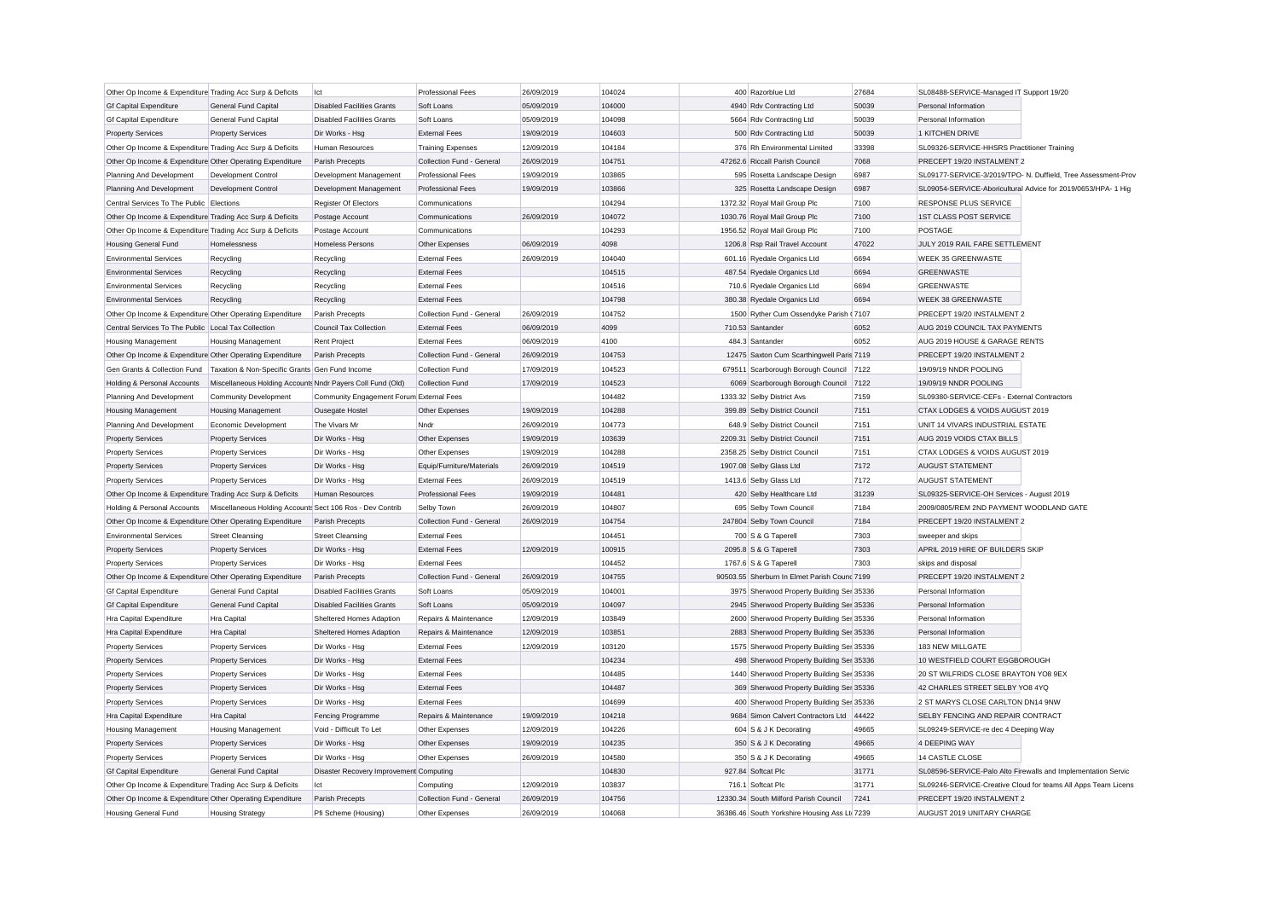| Other Op Income & Expenditure Trading Acc Surp & Deficits |                                                            | lct                                      | <b>Professional Fees</b>  | 26/09/2019 | 104024 | 400 Razorblue Ltd                            | 27684 | SL08488-SERVICE-Managed IT Support 19/20    |                                                               |
|-----------------------------------------------------------|------------------------------------------------------------|------------------------------------------|---------------------------|------------|--------|----------------------------------------------|-------|---------------------------------------------|---------------------------------------------------------------|
| <b>Gf Capital Expenditure</b>                             | General Fund Capital                                       | <b>Disabled Facilities Grants</b>        | Soft Loans                | 05/09/2019 | 104000 | 4940 Rdv Contracting Ltd                     | 50039 | Personal Information                        |                                                               |
| <b>Gf Capital Expenditure</b>                             | General Fund Capital                                       | <b>Disabled Facilities Grants</b>        | Soft Loans                | 05/09/2019 | 104098 | 5664 Rdv Contracting Ltd                     | 50039 | Personal Information                        |                                                               |
| <b>Property Services</b>                                  | <b>Property Services</b>                                   | Dir Works - Hsg                          | <b>External Fees</b>      | 19/09/2019 | 104603 | 500 Rdv Contracting Ltd                      | 50039 | 1 KITCHEN DRIVE                             |                                                               |
| Other Op Income & Expenditure Trading Acc Surp & Deficits |                                                            | Human Resources                          | <b>Training Expenses</b>  | 12/09/2019 | 104184 | 376 Rh Environmental Limited                 | 33398 | SL09326-SERVICE-HHSRS Practitioner Training |                                                               |
| Other Op Income & Expenditure Other Operating Expenditure |                                                            | Parish Precepts                          | Collection Fund - General | 26/09/2019 | 104751 | 47262.6 Riccall Parish Council               | 7068  | PRECEPT 19/20 INSTALMENT 2                  |                                                               |
| Planning And Development                                  | Development Control                                        | Development Management                   | <b>Professional Fees</b>  | 19/09/2019 | 103865 | 595 Rosetta Landscape Design                 | 6987  |                                             | SL09177-SERVICE-3/2019/TPO- N. Duffield, Tree Assessment-Prov |
| Planning And Development                                  | <b>Development Control</b>                                 | Development Management                   | <b>Professional Fees</b>  | 19/09/2019 | 103866 | 325 Rosetta Landscape Design                 | 6987  |                                             | SL09054-SERVICE-Aboricultural Advice for 2019/0653/HPA- 1 Hig |
| Central Services To The Public Flections                  |                                                            | Register Of Electors                     | Communications            |            | 104294 | 1372.32 Royal Mail Group Plc                 | 7100  | RESPONSE PLUS SERVICE                       |                                                               |
| Other Op Income & Expenditure Trading Acc Surp & Deficits |                                                            | Postage Account                          | Communications            | 26/09/2019 | 104072 | 1030.76 Royal Mail Group Plc                 | 7100  | 1ST CLASS POST SERVICE                      |                                                               |
| Other Op Income & Expenditure Trading Acc Surp & Deficits |                                                            | Postage Account                          | Communications            |            | 104293 | 1956.52 Royal Mail Group Plc                 | 7100  | <b>POSTAGE</b>                              |                                                               |
| <b>Housing General Fund</b>                               | Homelessness                                               | <b>Homeless Persons</b>                  | Other Expenses            | 06/09/2019 | 4098   | 1206.8 Rsp Rail Travel Account               | 47022 | JULY 2019 RAIL FARE SETTLEMENT              |                                                               |
| <b>Environmental Services</b>                             | Recycling                                                  | Recycling                                | <b>External Fees</b>      | 26/09/2019 | 104040 | 601.16 Ryedale Organics Ltd                  | 6694  | WEEK 35 GREENWASTE                          |                                                               |
| <b>Environmental Services</b>                             | Recycling                                                  | Recycling                                | <b>External Fees</b>      |            | 104515 | 487.54 Ryedale Organics Ltd                  | 6694  | GREENWASTE                                  |                                                               |
| <b>Environmental Services</b>                             | Recycling                                                  | Recycling                                | <b>External Fees</b>      |            | 104516 | 710.6 Ryedale Organics Ltd                   | 6694  | <b>GREENWASTE</b>                           |                                                               |
| <b>Environmental Services</b>                             | Recycling                                                  | Recycling                                | <b>External Fees</b>      |            | 104798 | 380.38 Ryedale Organics Ltd                  | 6694  | WEEK 38 GREENWASTE                          |                                                               |
| Other Op Income & Expenditure Other Operating Expenditure |                                                            | Parish Precepts                          | Collection Fund - General | 26/09/2019 | 104752 | 1500 Ryther Cum Ossendyke Parish (7107       |       | PRECEPT 19/20 INSTALMENT 2                  |                                                               |
| Central Services To The Public Local Tax Collection       |                                                            | <b>Council Tax Collection</b>            | <b>External Fees</b>      | 06/09/2019 | 4099   | 710.53 Santander                             | 6052  | AUG 2019 COUNCIL TAX PAYMENTS               |                                                               |
| <b>Housing Management</b>                                 | <b>Housing Management</b>                                  | Rent Project                             | <b>External Fees</b>      | 06/09/2019 | 4100   | 484.3 Santander                              | 6052  | AUG 2019 HOUSE & GARAGE RENTS               |                                                               |
| Other Op Income & Expenditure Other Operating Expenditure |                                                            | Parish Precepts                          | Collection Fund - General | 26/09/2019 | 104753 | 12475 Saxton Cum Scarthingwell Paris 7119    |       | PRECEPT 19/20 INSTALMENT 2                  |                                                               |
| Gen Grants & Collection Fund                              | Taxation & Non-Specific Grants Gen Fund Income             |                                          | Collection Fund           | 17/09/2019 | 104523 | 679511 Scarborough Borough Council 7122      |       | 19/09/19 NNDR POOLING                       |                                                               |
| Holding & Personal Accounts                               | Miscellaneous Holding Accounts Nndr Payers Coll Fund (Old) |                                          | Collection Fund           | 17/09/2019 | 104523 | 6069 Scarborough Borough Council             | 7122  | 19/09/19 NNDR POOLING                       |                                                               |
| Planning And Development                                  | <b>Community Development</b>                               | Community Engagement Forum External Fees |                           |            | 104482 | 1333.32 Selby District Avs                   | 7159  | SL09380-SERVICE-CEFs - External Contractors |                                                               |
| <b>Housing Management</b>                                 | <b>Housing Management</b>                                  | Ousegate Hostel                          | Other Expenses            | 19/09/2019 | 104288 | 399.89 Selby District Council                | 7151  | CTAX LODGES & VOIDS AUGUST 2019             |                                                               |
| Planning And Development                                  | Economic Development                                       | The Vivars Mr                            | Nndr                      | 26/09/2019 | 104773 | 648.9 Selby District Council                 | 7151  | UNIT 14 VIVARS INDUSTRIAL ESTATE            |                                                               |
| <b>Property Services</b>                                  | <b>Property Services</b>                                   | Dir Works - Hso                          | Other Expenses            | 19/09/2019 | 103639 | 2209.31 Selby District Council               | 7151  | AUG 2019 VOIDS CTAX BILLS                   |                                                               |
| <b>Property Services</b>                                  | <b>Property Services</b>                                   | Dir Works - Hsg                          | Other Expenses            | 19/09/2019 | 104288 | 2358.25 Selby District Council               | 7151  | CTAX LODGES & VOIDS AUGUST 2019             |                                                               |
| <b>Property Services</b>                                  | <b>Property Services</b>                                   | Dir Works - Hsg                          | Equip/Furniture/Materials | 26/09/2019 | 104519 | 1907.08 Selby Glass Ltd                      | 7172  | <b>AUGUST STATEMENT</b>                     |                                                               |
| <b>Property Services</b>                                  | <b>Property Services</b>                                   | Dir Works - Hsg                          | <b>External Fees</b>      | 26/09/2019 | 104519 | 1413.6 Selby Glass Ltd                       | 7172  | <b>AUGUST STATEMENT</b>                     |                                                               |
| Other Op Income & Expenditure Trading Acc Surp & Deficits |                                                            | Human Resources                          | <b>Professional Fees</b>  | 19/09/2019 | 104481 | 420 Selby Healthcare Ltd                     | 31239 | SL09325-SERVICE-OH Services - August 2019   |                                                               |
| Holding & Personal Accounts                               | Miscellaneous Holding Accounts Sect 106 Ros - Dev Contrib  |                                          | Selby Town                | 26/09/2019 | 104807 | 695 Selby Town Council                       | 7184  | 2009/0805/REM 2ND PAYMENT WOODLAND GATE     |                                                               |
| Other Op Income & Expenditure Other Operating Expenditure |                                                            | Parish Precepts                          | Collection Fund - General | 26/09/2019 | 104754 | 247804 Selby Town Council                    | 7184  | PRECEPT 19/20 INSTALMENT 2                  |                                                               |
| <b>Environmental Services</b>                             | <b>Street Cleansing</b>                                    | <b>Street Cleansing</b>                  | <b>External Fees</b>      |            | 104451 | 700 S & G Taperell                           | 7303  | sweeper and skips                           |                                                               |
| <b>Property Services</b>                                  | <b>Property Services</b>                                   | Dir Works - Hsg                          | <b>External Fees</b>      | 12/09/2019 | 100915 | 2095.8 S & G Taperell                        | 7303  | APRIL 2019 HIRE OF BUILDERS SKIP            |                                                               |
| <b>Property Services</b>                                  | <b>Property Services</b>                                   | Dir Works - Hsg                          | <b>External Fees</b>      |            | 104452 | 1767.6 S & G Taperell                        | 7303  | skips and disposal                          |                                                               |
| Other Op Income & Expenditure Other Operating Expenditure |                                                            | Parish Precepts                          | Collection Fund - General | 26/09/2019 | 104755 | 90503.55 Sherburn In Elmet Parish Counc 7199 |       | PRECEPT 19/20 INSTALMENT 2                  |                                                               |
| <b>Gf Capital Expenditure</b>                             | General Fund Capital                                       | <b>Disabled Facilities Grants</b>        | Soft Loans                | 05/09/2019 | 104001 | 3975 Sherwood Property Building Ser 35336    |       | Personal Information                        |                                                               |
| <b>Gf Capital Expenditure</b>                             | General Fund Capital                                       | <b>Disabled Facilities Grants</b>        | Soft Loans                | 05/09/2019 | 104097 | 2945 Sherwood Property Building Ser 35336    |       | Personal Information                        |                                                               |
| Hra Capital Expenditure                                   | Hra Capital                                                | Sheltered Homes Adaption                 | Repairs & Maintenance     | 12/09/2019 | 103849 | 2600 Sherwood Property Building Ser 35336    |       | Personal Information                        |                                                               |
| Hra Capital Expenditure                                   | Hra Capital                                                | Sheltered Homes Adaption                 | Repairs & Maintenance     | 12/09/2019 | 103851 | 2883 Sherwood Property Building Ser 35336    |       | Personal Information                        |                                                               |
| <b>Property Services</b>                                  | <b>Property Services</b>                                   | Dir Works - Hsg                          | <b>External Fees</b>      | 12/09/2019 | 103120 | 1575 Sherwood Property Building Ser 35336    |       | 183 NEW MILLGATE                            |                                                               |
| <b>Property Services</b>                                  | <b>Property Services</b>                                   | Dir Works - Hsg                          | <b>External Fees</b>      |            | 104234 | 498 Sherwood Property Building Ser 35336     |       | 10 WESTFIELD COURT EGGBOROUGH               |                                                               |
| <b>Property Services</b>                                  | <b>Property Services</b>                                   | Dir Works - Hsg                          | <b>External Fees</b>      |            | 104485 | 1440 Sherwood Property Building Ser 35336    |       | 20 ST WILFRIDS CLOSE BRAYTON YO8 9EX        |                                                               |
| <b>Property Services</b>                                  | <b>Property Services</b>                                   | Dir Works - Hsg                          | <b>External Fees</b>      |            | 104487 | 369 Sherwood Property Building Ser 35336     |       | 42 CHARLES STREET SELBY YO8 4YQ             |                                                               |
| <b>Property Services</b>                                  | <b>Property Services</b>                                   | Dir Works - Hsg                          | <b>External Fees</b>      |            | 104699 | 400 Sherwood Property Building Ser 35336     |       | 2 ST MARYS CLOSE CARLTON DN14 9NW           |                                                               |
| Hra Capital Expenditure                                   | Hra Capital                                                | Fencing Programme                        | Repairs & Maintenance     | 19/09/2019 | 104218 | 9684 Simon Calvert Contractors Ltd 44422     |       | <b>SELBY FENCING AND REPAIR CONTRACT</b>    |                                                               |
| <b>Housing Management</b>                                 | <b>Housing Management</b>                                  | Void - Difficult To Let                  | Other Expenses            | 12/09/2019 | 104226 | 604 S & J K Decorating                       | 49665 | SL09249-SERVICE-re dec 4 Deeping Way        |                                                               |
| <b>Property Services</b>                                  | <b>Property Services</b>                                   | Dir Works - Hsg                          | Other Expenses            | 19/09/2019 | 104235 | 350 S & J K Decorating                       | 49665 | 4 DEEPING WAY                               |                                                               |
| <b>Property Services</b>                                  | <b>Property Services</b>                                   | Dir Works - Hsg                          | Other Expenses            | 26/09/2019 | 104580 | 350 S & J K Decorating                       | 49665 | 14 CASTLE CLOSE                             |                                                               |
| <b>Gf Capital Expenditure</b>                             | General Fund Capital                                       | Disaster Recovery Improvement Computing  |                           |            | 104830 | 927.84 Softcat Plc                           | 31771 |                                             | SL08596-SERVICE-Palo Alto Firewalls and Implementation Servic |
| Other Op Income & Expenditure Trading Acc Surp & Deficits |                                                            | Ict                                      | Computing                 | 12/09/2019 | 103837 | 716.1 Softcat Plc                            | 31771 |                                             | SL09246-SERVICE-Creative Cloud for teams All Apps Team Licens |
| Other Op Income & Expenditure Other Operating Expenditure |                                                            | Parish Precepts                          | Collection Fund - General | 26/09/2019 | 104756 | 12330.34 South Milford Parish Council        | 7241  | PRECEPT 19/20 INSTALMENT 2                  |                                                               |
| Housing General Fund                                      | <b>Housing Strategy</b>                                    | Pfi Scheme (Housing)                     | Other Expenses            | 26/09/2019 | 104068 | 36386.46 South Yorkshire Housing Ass Lt 7239 |       | AUGUST 2019 UNITARY CHARGE                  |                                                               |
|                                                           |                                                            |                                          |                           |            |        |                                              |       |                                             |                                                               |